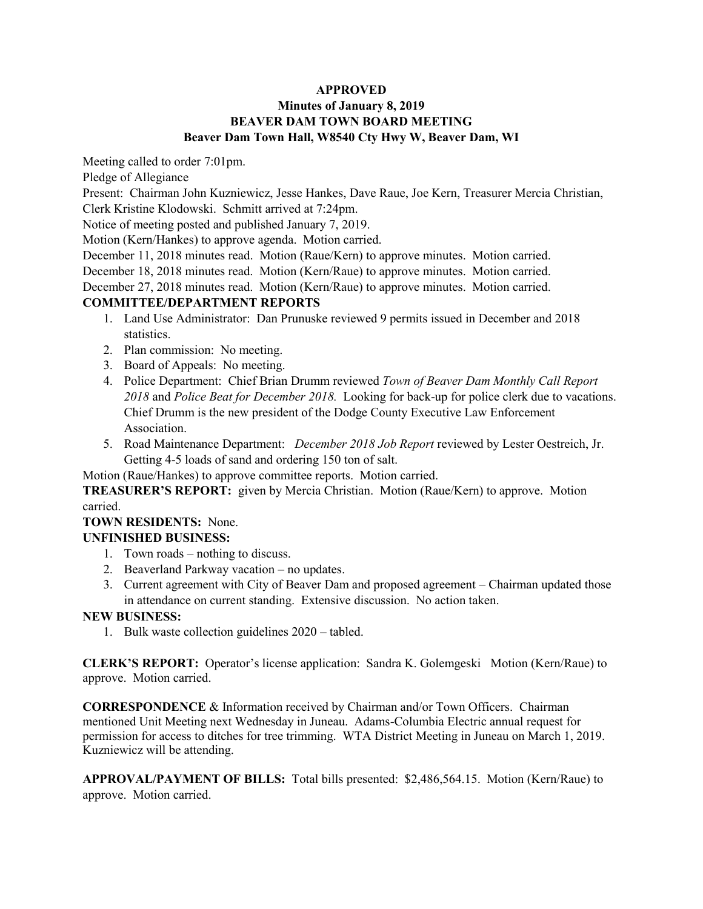#### **APPROVED**

### **Minutes of January 8, 2019 BEAVER DAM TOWN BOARD MEETING Beaver Dam Town Hall, W8540 Cty Hwy W, Beaver Dam, WI**

Meeting called to order 7:01pm.

Pledge of Allegiance

Present: Chairman John Kuzniewicz, Jesse Hankes, Dave Raue, Joe Kern, Treasurer Mercia Christian,

Clerk Kristine Klodowski. Schmitt arrived at 7:24pm.

Notice of meeting posted and published January 7, 2019.

Motion (Kern/Hankes) to approve agenda. Motion carried.

December 11, 2018 minutes read. Motion (Raue/Kern) to approve minutes. Motion carried.

December 18, 2018 minutes read. Motion (Kern/Raue) to approve minutes. Motion carried.

December 27, 2018 minutes read. Motion (Kern/Raue) to approve minutes. Motion carried.

## **COMMITTEE/DEPARTMENT REPORTS**

- 1. Land Use Administrator: Dan Prunuske reviewed 9 permits issued in December and 2018 statistics.
- 2. Plan commission: No meeting.
- 3. Board of Appeals: No meeting.
- 4. Police Department: Chief Brian Drumm reviewed *Town of Beaver Dam Monthly Call Report 2018* and *Police Beat for December 2018.* Looking for back-up for police clerk due to vacations. Chief Drumm is the new president of the Dodge County Executive Law Enforcement Association.
- 5. Road Maintenance Department: *December 2018 Job Report* reviewed by Lester Oestreich, Jr. Getting 4-5 loads of sand and ordering 150 ton of salt.

Motion (Raue/Hankes) to approve committee reports. Motion carried.

**TREASURER'S REPORT:** given by Mercia Christian. Motion (Raue/Kern) to approve. Motion carried.

**TOWN RESIDENTS:** None.

#### **UNFINISHED BUSINESS:**

- 1. Town roads nothing to discuss.
- 2. Beaverland Parkway vacation no updates.
- 3. Current agreement with City of Beaver Dam and proposed agreement Chairman updated those in attendance on current standing. Extensive discussion. No action taken.

#### **NEW BUSINESS:**

1. Bulk waste collection guidelines 2020 – tabled.

**CLERK'S REPORT:** Operator's license application: Sandra K. Golemgeski Motion (Kern/Raue) to approve. Motion carried.

**CORRESPONDENCE** & Information received by Chairman and/or Town Officers. Chairman mentioned Unit Meeting next Wednesday in Juneau. Adams-Columbia Electric annual request for permission for access to ditches for tree trimming. WTA District Meeting in Juneau on March 1, 2019. Kuzniewicz will be attending.

**APPROVAL/PAYMENT OF BILLS:** Total bills presented: \$2,486,564.15. Motion (Kern/Raue) to approve. Motion carried.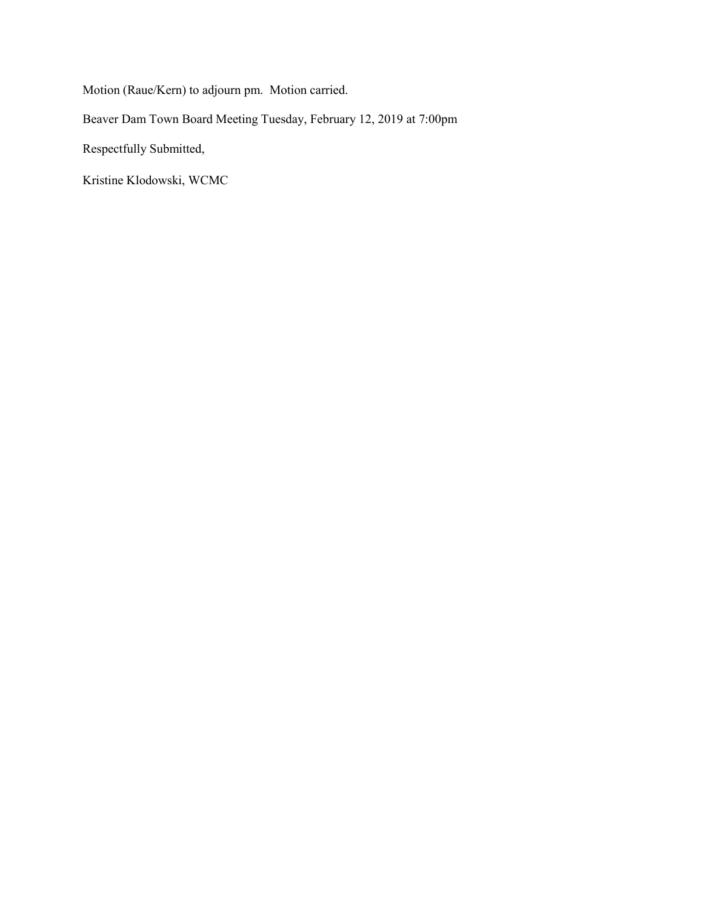Motion (Raue/Kern) to adjourn pm. Motion carried.

Beaver Dam Town Board Meeting Tuesday, February 12, 2019 at 7:00pm

Respectfully Submitted,

Kristine Klodowski, WCMC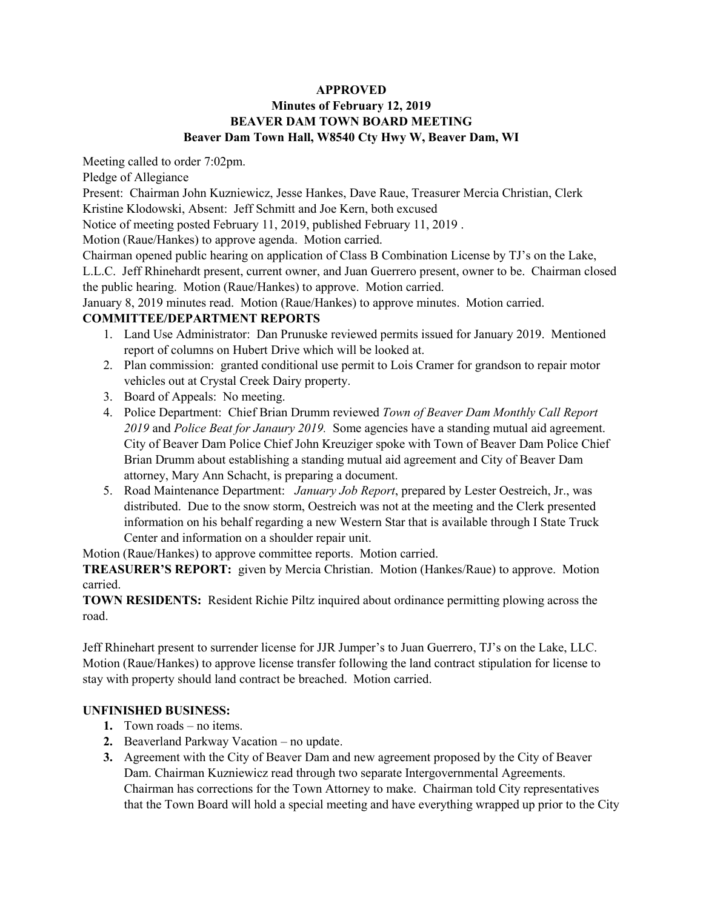#### **APPROVED Minutes of February 12, 2019 BEAVER DAM TOWN BOARD MEETING Beaver Dam Town Hall, W8540 Cty Hwy W, Beaver Dam, WI**

Meeting called to order 7:02pm.

Pledge of Allegiance

Present: Chairman John Kuzniewicz, Jesse Hankes, Dave Raue, Treasurer Mercia Christian, Clerk Kristine Klodowski, Absent: Jeff Schmitt and Joe Kern, both excused

Notice of meeting posted February 11, 2019, published February 11, 2019 .

Motion (Raue/Hankes) to approve agenda. Motion carried.

Chairman opened public hearing on application of Class B Combination License by TJ's on the Lake,

L.L.C. Jeff Rhinehardt present, current owner, and Juan Guerrero present, owner to be. Chairman closed the public hearing. Motion (Raue/Hankes) to approve. Motion carried.

January 8, 2019 minutes read. Motion (Raue/Hankes) to approve minutes. Motion carried.

#### **COMMITTEE/DEPARTMENT REPORTS**

- 1. Land Use Administrator: Dan Prunuske reviewed permits issued for January 2019. Mentioned report of columns on Hubert Drive which will be looked at.
- 2. Plan commission: granted conditional use permit to Lois Cramer for grandson to repair motor vehicles out at Crystal Creek Dairy property.
- 3. Board of Appeals: No meeting.
- 4. Police Department: Chief Brian Drumm reviewed *Town of Beaver Dam Monthly Call Report 2019* and *Police Beat for Janaury 2019.* Some agencies have a standing mutual aid agreement. City of Beaver Dam Police Chief John Kreuziger spoke with Town of Beaver Dam Police Chief Brian Drumm about establishing a standing mutual aid agreement and City of Beaver Dam attorney, Mary Ann Schacht, is preparing a document.
- 5. Road Maintenance Department: *January Job Report*, prepared by Lester Oestreich, Jr., was distributed. Due to the snow storm, Oestreich was not at the meeting and the Clerk presented information on his behalf regarding a new Western Star that is available through I State Truck Center and information on a shoulder repair unit.

Motion (Raue/Hankes) to approve committee reports. Motion carried.

**TREASURER'S REPORT:** given by Mercia Christian. Motion (Hankes/Raue) to approve. Motion carried.

**TOWN RESIDENTS:** Resident Richie Piltz inquired about ordinance permitting plowing across the road.

Jeff Rhinehart present to surrender license for JJR Jumper's to Juan Guerrero, TJ's on the Lake, LLC. Motion (Raue/Hankes) to approve license transfer following the land contract stipulation for license to stay with property should land contract be breached. Motion carried.

### **UNFINISHED BUSINESS:**

- **1.** Town roads no items.
- **2.** Beaverland Parkway Vacation no update.
- **3.** Agreement with the City of Beaver Dam and new agreement proposed by the City of Beaver Dam. Chairman Kuzniewicz read through two separate Intergovernmental Agreements. Chairman has corrections for the Town Attorney to make. Chairman told City representatives that the Town Board will hold a special meeting and have everything wrapped up prior to the City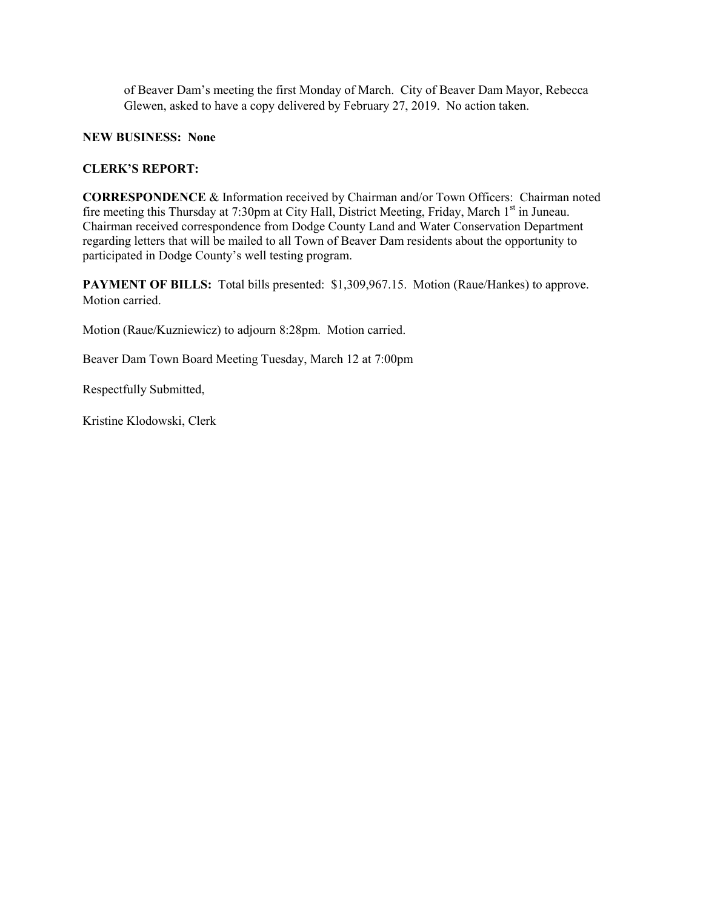of Beaver Dam's meeting the first Monday of March. City of Beaver Dam Mayor, Rebecca Glewen, asked to have a copy delivered by February 27, 2019. No action taken.

**NEW BUSINESS: None**

### **CLERK'S REPORT:**

**CORRESPONDENCE** & Information received by Chairman and/or Town Officers: Chairman noted fire meeting this Thursday at 7:30pm at City Hall, District Meeting, Friday, March 1<sup>st</sup> in Juneau. Chairman received correspondence from Dodge County Land and Water Conservation Department regarding letters that will be mailed to all Town of Beaver Dam residents about the opportunity to participated in Dodge County's well testing program.

**PAYMENT OF BILLS:** Total bills presented: \$1,309,967.15. Motion (Raue/Hankes) to approve. Motion carried.

Motion (Raue/Kuzniewicz) to adjourn 8:28pm. Motion carried.

Beaver Dam Town Board Meeting Tuesday, March 12 at 7:00pm

Respectfully Submitted,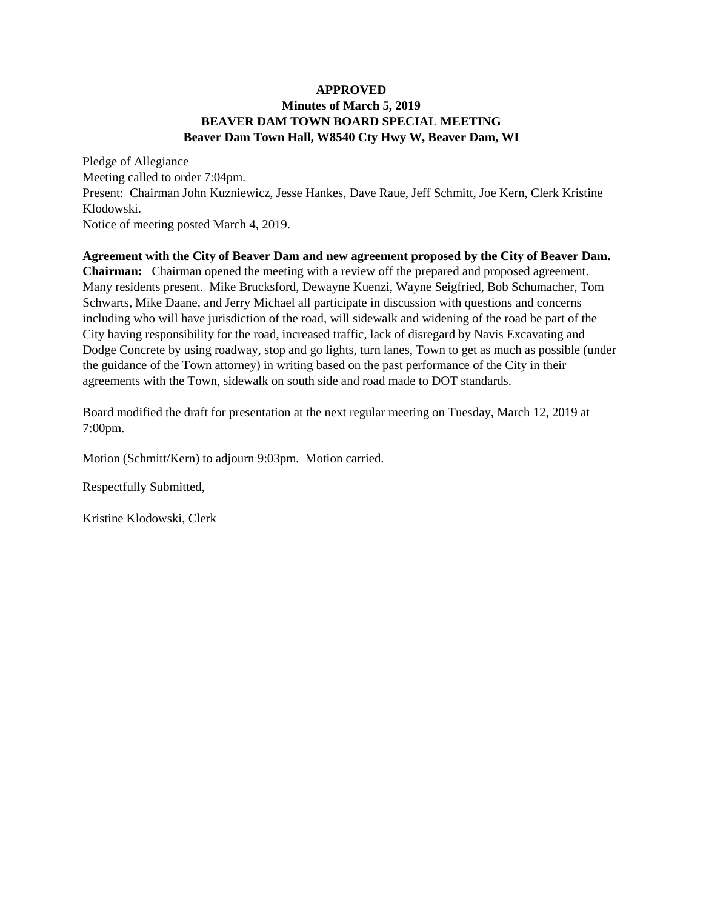#### **APPROVED Minutes of March 5, 2019 BEAVER DAM TOWN BOARD SPECIAL MEETING Beaver Dam Town Hall, W8540 Cty Hwy W, Beaver Dam, WI**

Pledge of Allegiance Meeting called to order 7:04pm. Present: Chairman John Kuzniewicz, Jesse Hankes, Dave Raue, Jeff Schmitt, Joe Kern, Clerk Kristine Klodowski. Notice of meeting posted March 4, 2019.

**Agreement with the City of Beaver Dam and new agreement proposed by the City of Beaver Dam. Chairman:** Chairman opened the meeting with a review off the prepared and proposed agreement. Many residents present. Mike Brucksford, Dewayne Kuenzi, Wayne Seigfried, Bob Schumacher, Tom Schwarts, Mike Daane, and Jerry Michael all participate in discussion with questions and concerns including who will have jurisdiction of the road, will sidewalk and widening of the road be part of the City having responsibility for the road, increased traffic, lack of disregard by Navis Excavating and Dodge Concrete by using roadway, stop and go lights, turn lanes, Town to get as much as possible (under the guidance of the Town attorney) in writing based on the past performance of the City in their agreements with the Town, sidewalk on south side and road made to DOT standards.

Board modified the draft for presentation at the next regular meeting on Tuesday, March 12, 2019 at 7:00pm.

Motion (Schmitt/Kern) to adjourn 9:03pm. Motion carried.

Respectfully Submitted,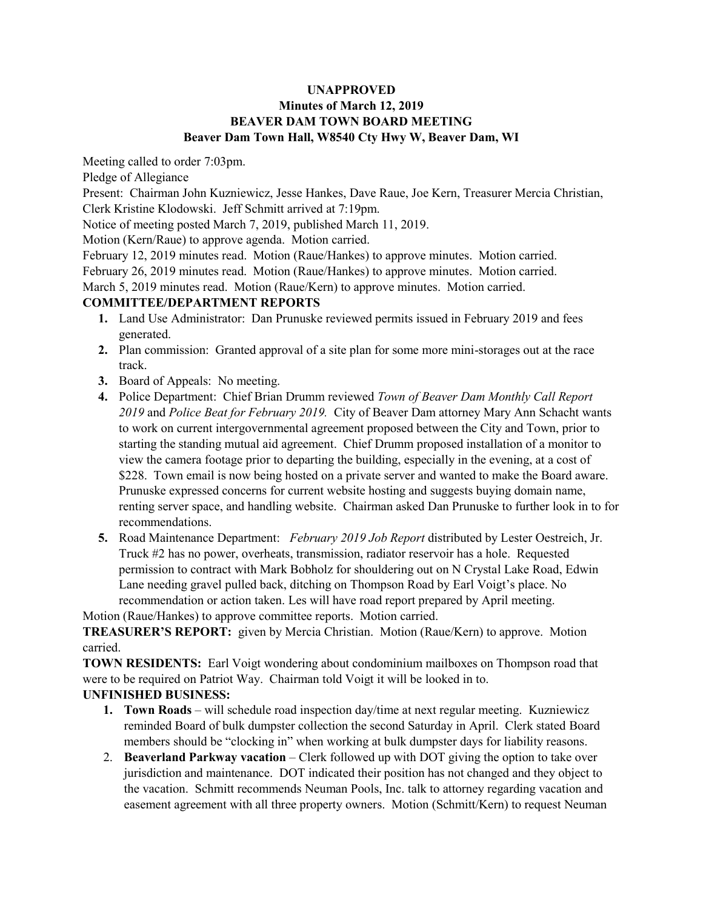### **UNAPPROVED Minutes of March 12, 2019 BEAVER DAM TOWN BOARD MEETING Beaver Dam Town Hall, W8540 Cty Hwy W, Beaver Dam, WI**

Meeting called to order 7:03pm.

Pledge of Allegiance

Present: Chairman John Kuzniewicz, Jesse Hankes, Dave Raue, Joe Kern, Treasurer Mercia Christian, Clerk Kristine Klodowski. Jeff Schmitt arrived at 7:19pm.

Notice of meeting posted March 7, 2019, published March 11, 2019.

Motion (Kern/Raue) to approve agenda. Motion carried.

February 12, 2019 minutes read. Motion (Raue/Hankes) to approve minutes. Motion carried.

February 26, 2019 minutes read. Motion (Raue/Hankes) to approve minutes. Motion carried.

March 5, 2019 minutes read. Motion (Raue/Kern) to approve minutes. Motion carried.

### **COMMITTEE/DEPARTMENT REPORTS**

- **1.** Land Use Administrator: Dan Prunuske reviewed permits issued in February 2019 and fees generated.
- **2.** Plan commission: Granted approval of a site plan for some more mini-storages out at the race track.
- **3.** Board of Appeals: No meeting.
- **4.** Police Department: Chief Brian Drumm reviewed *Town of Beaver Dam Monthly Call Report 2019* and *Police Beat for February 2019.* City of Beaver Dam attorney Mary Ann Schacht wants to work on current intergovernmental agreement proposed between the City and Town, prior to starting the standing mutual aid agreement. Chief Drumm proposed installation of a monitor to view the camera footage prior to departing the building, especially in the evening, at a cost of \$228. Town email is now being hosted on a private server and wanted to make the Board aware. Prunuske expressed concerns for current website hosting and suggests buying domain name, renting server space, and handling website. Chairman asked Dan Prunuske to further look in to for recommendations.
- **5.** Road Maintenance Department: *February 2019 Job Report* distributed by Lester Oestreich, Jr. Truck #2 has no power, overheats, transmission, radiator reservoir has a hole. Requested permission to contract with Mark Bobholz for shouldering out on N Crystal Lake Road, Edwin Lane needing gravel pulled back, ditching on Thompson Road by Earl Voigt's place. No recommendation or action taken. Les will have road report prepared by April meeting.

Motion (Raue/Hankes) to approve committee reports. Motion carried.

**TREASURER'S REPORT:** given by Mercia Christian. Motion (Raue/Kern) to approve. Motion carried.

**TOWN RESIDENTS:** Earl Voigt wondering about condominium mailboxes on Thompson road that were to be required on Patriot Way. Chairman told Voigt it will be looked in to.

# **UNFINISHED BUSINESS:**

- **1. Town Roads**  will schedule road inspection day/time at next regular meeting. Kuzniewicz reminded Board of bulk dumpster collection the second Saturday in April. Clerk stated Board members should be "clocking in" when working at bulk dumpster days for liability reasons.
- 2. **Beaverland Parkway vacation**  Clerk followed up with DOT giving the option to take over jurisdiction and maintenance. DOT indicated their position has not changed and they object to the vacation. Schmitt recommends Neuman Pools, Inc. talk to attorney regarding vacation and easement agreement with all three property owners. Motion (Schmitt/Kern) to request Neuman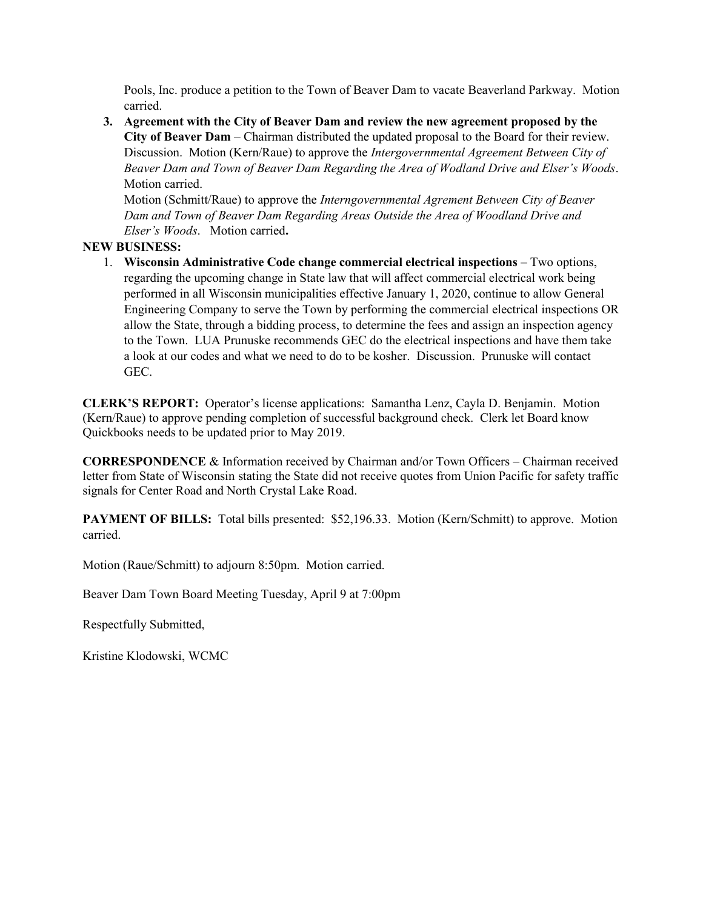Pools, Inc. produce a petition to the Town of Beaver Dam to vacate Beaverland Parkway. Motion carried.

**3. Agreement with the City of Beaver Dam and review the new agreement proposed by the City of Beaver Dam** – Chairman distributed the updated proposal to the Board for their review. Discussion. Motion (Kern/Raue) to approve the *Intergovernmental Agreement Between City of Beaver Dam and Town of Beaver Dam Regarding the Area of Wodland Drive and Elser's Woods*. Motion carried.

Motion (Schmitt/Raue) to approve the *Interngovernmental Agrement Between City of Beaver Dam and Town of Beaver Dam Regarding Areas Outside the Area of Woodland Drive and Elser's Woods*. Motion carried**.** 

## **NEW BUSINESS:**

1. **Wisconsin Administrative Code change commercial electrical inspections** – Two options, regarding the upcoming change in State law that will affect commercial electrical work being performed in all Wisconsin municipalities effective January 1, 2020, continue to allow General Engineering Company to serve the Town by performing the commercial electrical inspections OR allow the State, through a bidding process, to determine the fees and assign an inspection agency to the Town. LUA Prunuske recommends GEC do the electrical inspections and have them take a look at our codes and what we need to do to be kosher. Discussion. Prunuske will contact GEC.

**CLERK'S REPORT:** Operator's license applications: Samantha Lenz, Cayla D. Benjamin. Motion (Kern/Raue) to approve pending completion of successful background check. Clerk let Board know Quickbooks needs to be updated prior to May 2019.

**CORRESPONDENCE** & Information received by Chairman and/or Town Officers – Chairman received letter from State of Wisconsin stating the State did not receive quotes from Union Pacific for safety traffic signals for Center Road and North Crystal Lake Road.

**PAYMENT OF BILLS:** Total bills presented: \$52,196.33. Motion (Kern/Schmitt) to approve. Motion carried.

Motion (Raue/Schmitt) to adjourn 8:50pm. Motion carried.

Beaver Dam Town Board Meeting Tuesday, April 9 at 7:00pm

Respectfully Submitted,

Kristine Klodowski, WCMC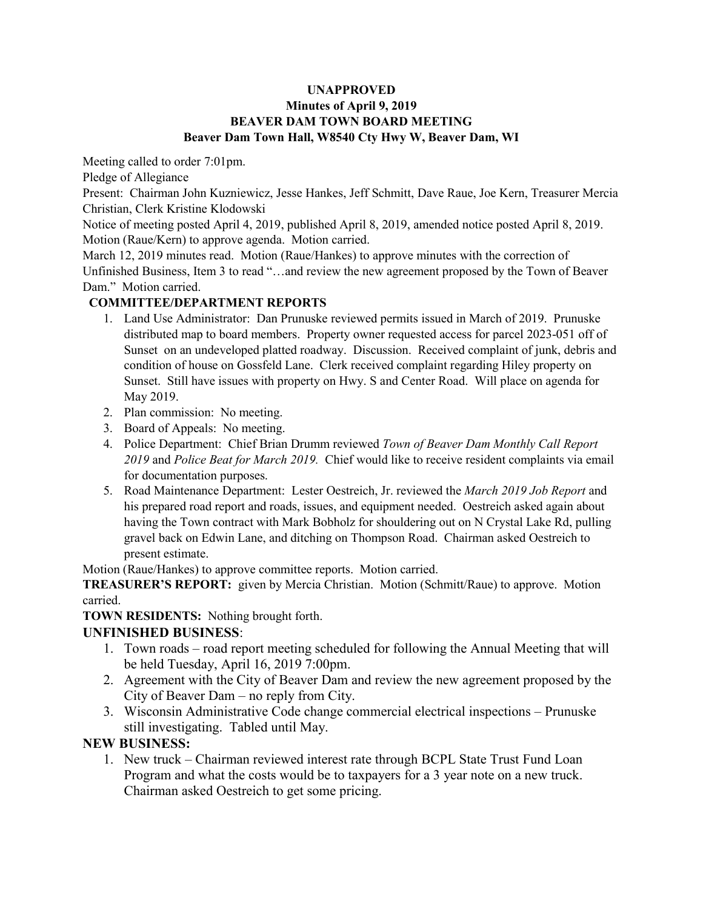### **UNAPPROVED Minutes of April 9, 2019 BEAVER DAM TOWN BOARD MEETING Beaver Dam Town Hall, W8540 Cty Hwy W, Beaver Dam, WI**

Meeting called to order 7:01pm.

Pledge of Allegiance

Present: Chairman John Kuzniewicz, Jesse Hankes, Jeff Schmitt, Dave Raue, Joe Kern, Treasurer Mercia Christian, Clerk Kristine Klodowski

Notice of meeting posted April 4, 2019, published April 8, 2019, amended notice posted April 8, 2019. Motion (Raue/Kern) to approve agenda. Motion carried.

March 12, 2019 minutes read. Motion (Raue/Hankes) to approve minutes with the correction of Unfinished Business, Item 3 to read "…and review the new agreement proposed by the Town of Beaver Dam." Motion carried.

## **COMMITTEE/DEPARTMENT REPORTS**

- 1. Land Use Administrator: Dan Prunuske reviewed permits issued in March of 2019. Prunuske distributed map to board members. Property owner requested access for parcel 2023-051 off of Sunset on an undeveloped platted roadway. Discussion. Received complaint of junk, debris and condition of house on Gossfeld Lane. Clerk received complaint regarding Hiley property on Sunset. Still have issues with property on Hwy. S and Center Road. Will place on agenda for May 2019.
- 2. Plan commission: No meeting.
- 3. Board of Appeals: No meeting.
- 4. Police Department: Chief Brian Drumm reviewed *Town of Beaver Dam Monthly Call Report 2019* and *Police Beat for March 2019.* Chief would like to receive resident complaints via email for documentation purposes.
- 5. Road Maintenance Department: Lester Oestreich, Jr. reviewed the *March 2019 Job Report* and his prepared road report and roads, issues, and equipment needed. Oestreich asked again about having the Town contract with Mark Bobholz for shouldering out on N Crystal Lake Rd, pulling gravel back on Edwin Lane, and ditching on Thompson Road. Chairman asked Oestreich to present estimate.

Motion (Raue/Hankes) to approve committee reports. Motion carried.

**TREASURER'S REPORT:** given by Mercia Christian. Motion (Schmitt/Raue) to approve. Motion carried.

### **TOWN RESIDENTS:** Nothing brought forth.

### **UNFINISHED BUSINESS**:

- 1. Town roads road report meeting scheduled for following the Annual Meeting that will be held Tuesday, April 16, 2019 7:00pm.
- 2. Agreement with the City of Beaver Dam and review the new agreement proposed by the City of Beaver Dam – no reply from City.
- 3. Wisconsin Administrative Code change commercial electrical inspections Prunuske still investigating. Tabled until May.

# **NEW BUSINESS:**

1. New truck – Chairman reviewed interest rate through BCPL State Trust Fund Loan Program and what the costs would be to taxpayers for a 3 year note on a new truck. Chairman asked Oestreich to get some pricing.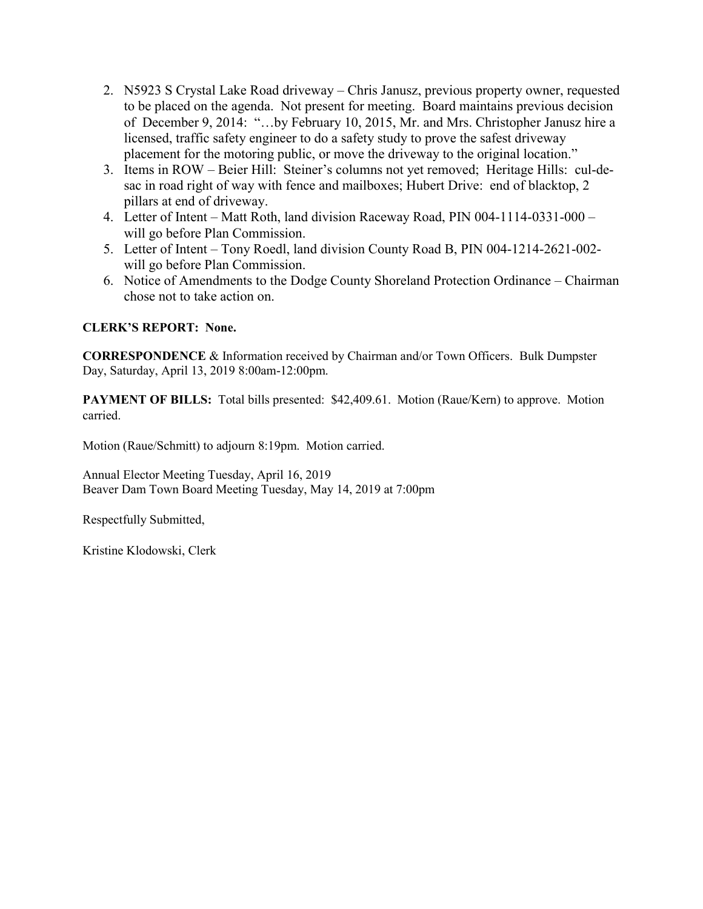- 2. N5923 S Crystal Lake Road driveway Chris Janusz, previous property owner, requested to be placed on the agenda. Not present for meeting. Board maintains previous decision of December 9, 2014: "…by February 10, 2015, Mr. and Mrs. Christopher Janusz hire a licensed, traffic safety engineer to do a safety study to prove the safest driveway placement for the motoring public, or move the driveway to the original location."
- 3. Items in ROW Beier Hill: Steiner's columns not yet removed; Heritage Hills: cul-desac in road right of way with fence and mailboxes; Hubert Drive: end of blacktop, 2 pillars at end of driveway.
- 4. Letter of Intent Matt Roth, land division Raceway Road, PIN 004-1114-0331-000 will go before Plan Commission.
- 5. Letter of Intent Tony Roedl, land division County Road B, PIN 004-1214-2621-002 will go before Plan Commission.
- 6. Notice of Amendments to the Dodge County Shoreland Protection Ordinance Chairman chose not to take action on.

## **CLERK'S REPORT: None.**

**CORRESPONDENCE** & Information received by Chairman and/or Town Officers. Bulk Dumpster Day, Saturday, April 13, 2019 8:00am-12:00pm.

**PAYMENT OF BILLS:** Total bills presented: \$42,409.61. Motion (Raue/Kern) to approve. Motion carried.

Motion (Raue/Schmitt) to adjourn 8:19pm. Motion carried.

Annual Elector Meeting Tuesday, April 16, 2019 Beaver Dam Town Board Meeting Tuesday, May 14, 2019 at 7:00pm

Respectfully Submitted,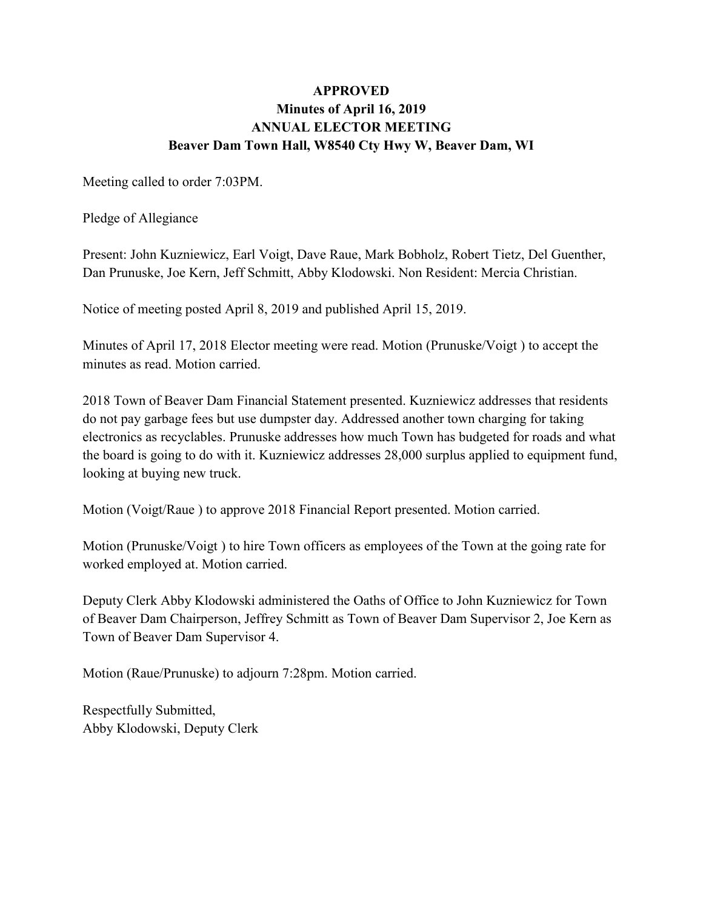# **APPROVED Minutes of April 16, 2019 ANNUAL ELECTOR MEETING Beaver Dam Town Hall, W8540 Cty Hwy W, Beaver Dam, WI**

Meeting called to order 7:03PM.

Pledge of Allegiance

Present: John Kuzniewicz, Earl Voigt, Dave Raue, Mark Bobholz, Robert Tietz, Del Guenther, Dan Prunuske, Joe Kern, Jeff Schmitt, Abby Klodowski. Non Resident: Mercia Christian.

Notice of meeting posted April 8, 2019 and published April 15, 2019.

Minutes of April 17, 2018 Elector meeting were read. Motion (Prunuske/Voigt ) to accept the minutes as read. Motion carried.

2018 Town of Beaver Dam Financial Statement presented. Kuzniewicz addresses that residents do not pay garbage fees but use dumpster day. Addressed another town charging for taking electronics as recyclables. Prunuske addresses how much Town has budgeted for roads and what the board is going to do with it. Kuzniewicz addresses 28,000 surplus applied to equipment fund, looking at buying new truck.

Motion (Voigt/Raue ) to approve 2018 Financial Report presented. Motion carried.

Motion (Prunuske/Voigt ) to hire Town officers as employees of the Town at the going rate for worked employed at. Motion carried.

Deputy Clerk Abby Klodowski administered the Oaths of Office to John Kuzniewicz for Town of Beaver Dam Chairperson, Jeffrey Schmitt as Town of Beaver Dam Supervisor 2, Joe Kern as Town of Beaver Dam Supervisor 4.

Motion (Raue/Prunuske) to adjourn 7:28pm. Motion carried.

Respectfully Submitted, Abby Klodowski, Deputy Clerk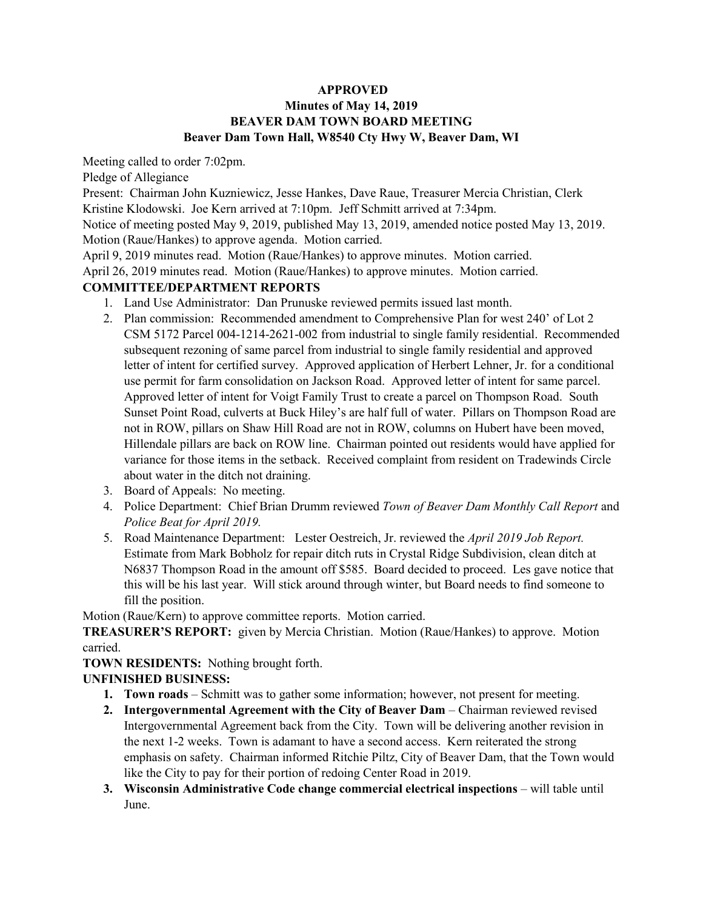### **APPROVED**

### **Minutes of May 14, 2019 BEAVER DAM TOWN BOARD MEETING Beaver Dam Town Hall, W8540 Cty Hwy W, Beaver Dam, WI**

Meeting called to order 7:02pm.

Pledge of Allegiance

Present: Chairman John Kuzniewicz, Jesse Hankes, Dave Raue, Treasurer Mercia Christian, Clerk Kristine Klodowski. Joe Kern arrived at 7:10pm. Jeff Schmitt arrived at 7:34pm.

Notice of meeting posted May 9, 2019, published May 13, 2019, amended notice posted May 13, 2019. Motion (Raue/Hankes) to approve agenda. Motion carried.

April 9, 2019 minutes read. Motion (Raue/Hankes) to approve minutes. Motion carried.

April 26, 2019 minutes read. Motion (Raue/Hankes) to approve minutes. Motion carried.

### **COMMITTEE/DEPARTMENT REPORTS**

- 1. Land Use Administrator: Dan Prunuske reviewed permits issued last month.
- 2. Plan commission: Recommended amendment to Comprehensive Plan for west 240' of Lot 2 CSM 5172 Parcel 004-1214-2621-002 from industrial to single family residential. Recommended subsequent rezoning of same parcel from industrial to single family residential and approved letter of intent for certified survey. Approved application of Herbert Lehner, Jr. for a conditional use permit for farm consolidation on Jackson Road. Approved letter of intent for same parcel. Approved letter of intent for Voigt Family Trust to create a parcel on Thompson Road. South Sunset Point Road, culverts at Buck Hiley's are half full of water. Pillars on Thompson Road are not in ROW, pillars on Shaw Hill Road are not in ROW, columns on Hubert have been moved, Hillendale pillars are back on ROW line. Chairman pointed out residents would have applied for variance for those items in the setback. Received complaint from resident on Tradewinds Circle about water in the ditch not draining.
- 3. Board of Appeals: No meeting.
- 4. Police Department: Chief Brian Drumm reviewed *Town of Beaver Dam Monthly Call Report* and *Police Beat for April 2019.*
- 5. Road Maintenance Department: Lester Oestreich, Jr. reviewed the *April 2019 Job Report.* Estimate from Mark Bobholz for repair ditch ruts in Crystal Ridge Subdivision, clean ditch at N6837 Thompson Road in the amount off \$585. Board decided to proceed. Les gave notice that this will be his last year. Will stick around through winter, but Board needs to find someone to fill the position.

Motion (Raue/Kern) to approve committee reports. Motion carried.

**TREASURER'S REPORT:** given by Mercia Christian. Motion (Raue/Hankes) to approve. Motion carried.

**TOWN RESIDENTS:** Nothing brought forth.

### **UNFINISHED BUSINESS:**

- **1. Town roads**  Schmitt was to gather some information; however, not present for meeting.
- **2. Intergovernmental Agreement with the City of Beaver Dam**  Chairman reviewed revised Intergovernmental Agreement back from the City. Town will be delivering another revision in the next 1-2 weeks. Town is adamant to have a second access. Kern reiterated the strong emphasis on safety. Chairman informed Ritchie Piltz, City of Beaver Dam, that the Town would like the City to pay for their portion of redoing Center Road in 2019.
- **3.** Wisconsin Administrative Code change commercial electrical inspections will table until June.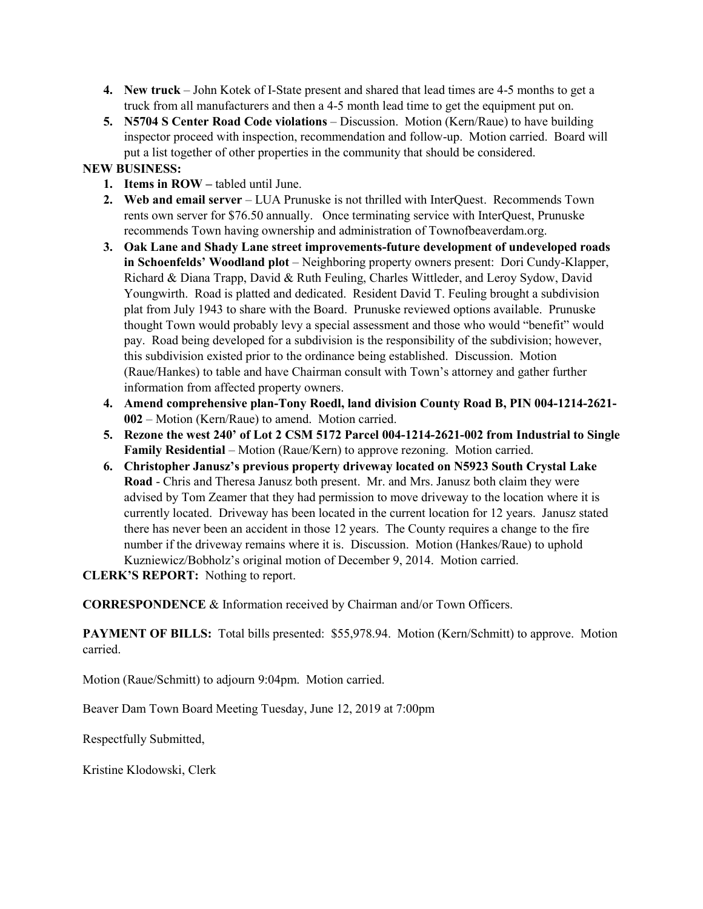- **4. New truck**  John Kotek of I-State present and shared that lead times are 4-5 months to get a truck from all manufacturers and then a 4-5 month lead time to get the equipment put on.
- **5. N5704 S Center Road Code violations** Discussion. Motion (Kern/Raue) to have building inspector proceed with inspection, recommendation and follow-up. Motion carried. Board will put a list together of other properties in the community that should be considered.

## **NEW BUSINESS:**

- **1. Items in ROW** tabled until June.
- **2. Web and email server**  LUA Prunuske is not thrilled with InterQuest. Recommends Town rents own server for \$76.50 annually. Once terminating service with InterQuest, Prunuske recommends Town having ownership and administration of Townofbeaverdam.org.
- **3. Oak Lane and Shady Lane street improvements-future development of undeveloped roads in Schoenfelds' Woodland plot** – Neighboring property owners present: Dori Cundy-Klapper, Richard & Diana Trapp, David & Ruth Feuling, Charles Wittleder, and Leroy Sydow, David Youngwirth. Road is platted and dedicated. Resident David T. Feuling brought a subdivision plat from July 1943 to share with the Board. Prunuske reviewed options available. Prunuske thought Town would probably levy a special assessment and those who would "benefit" would pay. Road being developed for a subdivision is the responsibility of the subdivision; however, this subdivision existed prior to the ordinance being established. Discussion. Motion (Raue/Hankes) to table and have Chairman consult with Town's attorney and gather further information from affected property owners.
- **4. Amend comprehensive plan-Tony Roedl, land division County Road B, PIN 004-1214-2621- 002** – Motion (Kern/Raue) to amend. Motion carried.
- **5. Rezone the west 240' of Lot 2 CSM 5172 Parcel 004-1214-2621-002 from Industrial to Single Family Residential** – Motion (Raue/Kern) to approve rezoning. Motion carried.
- **6. Christopher Janusz's previous property driveway located on N5923 South Crystal Lake Road** - Chris and Theresa Janusz both present. Mr. and Mrs. Janusz both claim they were advised by Tom Zeamer that they had permission to move driveway to the location where it is currently located. Driveway has been located in the current location for 12 years. Janusz stated there has never been an accident in those 12 years. The County requires a change to the fire number if the driveway remains where it is. Discussion. Motion (Hankes/Raue) to uphold Kuzniewicz/Bobholz's original motion of December 9, 2014. Motion carried.

**CLERK'S REPORT:** Nothing to report.

**CORRESPONDENCE** & Information received by Chairman and/or Town Officers.

**PAYMENT OF BILLS:** Total bills presented: \$55,978.94. Motion (Kern/Schmitt) to approve. Motion carried.

Motion (Raue/Schmitt) to adjourn 9:04pm. Motion carried.

Beaver Dam Town Board Meeting Tuesday, June 12, 2019 at 7:00pm

Respectfully Submitted,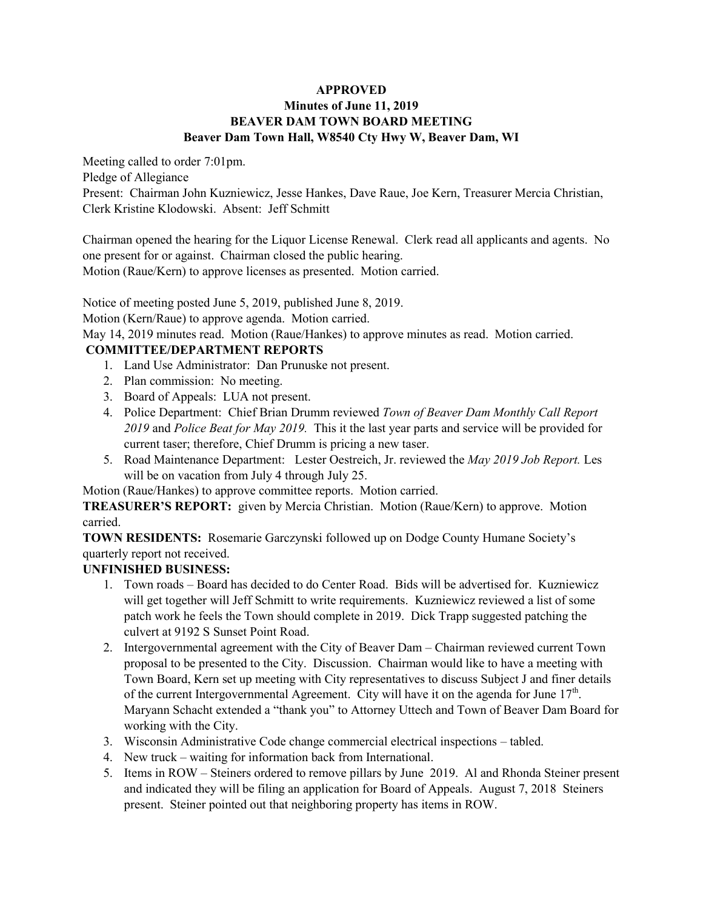#### **APPROVED Minutes of June 11, 2019 BEAVER DAM TOWN BOARD MEETING Beaver Dam Town Hall, W8540 Cty Hwy W, Beaver Dam, WI**

Meeting called to order 7:01pm.

Pledge of Allegiance

Present: Chairman John Kuzniewicz, Jesse Hankes, Dave Raue, Joe Kern, Treasurer Mercia Christian, Clerk Kristine Klodowski. Absent: Jeff Schmitt

Chairman opened the hearing for the Liquor License Renewal. Clerk read all applicants and agents. No one present for or against. Chairman closed the public hearing. Motion (Raue/Kern) to approve licenses as presented. Motion carried.

Notice of meeting posted June 5, 2019, published June 8, 2019. Motion (Kern/Raue) to approve agenda. Motion carried. May 14, 2019 minutes read. Motion (Raue/Hankes) to approve minutes as read. Motion carried.

# **COMMITTEE/DEPARTMENT REPORTS**

- 1. Land Use Administrator: Dan Prunuske not present.
- 2. Plan commission: No meeting.
- 3. Board of Appeals: LUA not present.
- 4. Police Department: Chief Brian Drumm reviewed *Town of Beaver Dam Monthly Call Report 2019* and *Police Beat for May 2019.* This it the last year parts and service will be provided for current taser; therefore, Chief Drumm is pricing a new taser.
- 5. Road Maintenance Department: Lester Oestreich, Jr. reviewed the *May 2019 Job Report.* Les will be on vacation from July 4 through July 25.

Motion (Raue/Hankes) to approve committee reports. Motion carried.

**TREASURER'S REPORT:** given by Mercia Christian. Motion (Raue/Kern) to approve. Motion carried.

**TOWN RESIDENTS:** Rosemarie Garczynski followed up on Dodge County Humane Society's quarterly report not received.

# **UNFINISHED BUSINESS:**

- 1. Town roads Board has decided to do Center Road. Bids will be advertised for. Kuzniewicz will get together will Jeff Schmitt to write requirements. Kuzniewicz reviewed a list of some patch work he feels the Town should complete in 2019. Dick Trapp suggested patching the culvert at 9192 S Sunset Point Road.
- 2. Intergovernmental agreement with the City of Beaver Dam Chairman reviewed current Town proposal to be presented to the City. Discussion. Chairman would like to have a meeting with Town Board, Kern set up meeting with City representatives to discuss Subject J and finer details of the current Intergovernmental Agreement. City will have it on the agenda for June  $17<sup>th</sup>$ . Maryann Schacht extended a "thank you" to Attorney Uttech and Town of Beaver Dam Board for working with the City.
- 3. Wisconsin Administrative Code change commercial electrical inspections tabled.
- 4. New truck waiting for information back from International.
- 5. Items in ROW Steiners ordered to remove pillars by June 2019. Al and Rhonda Steiner present and indicated they will be filing an application for Board of Appeals. August 7, 2018 Steiners present. Steiner pointed out that neighboring property has items in ROW.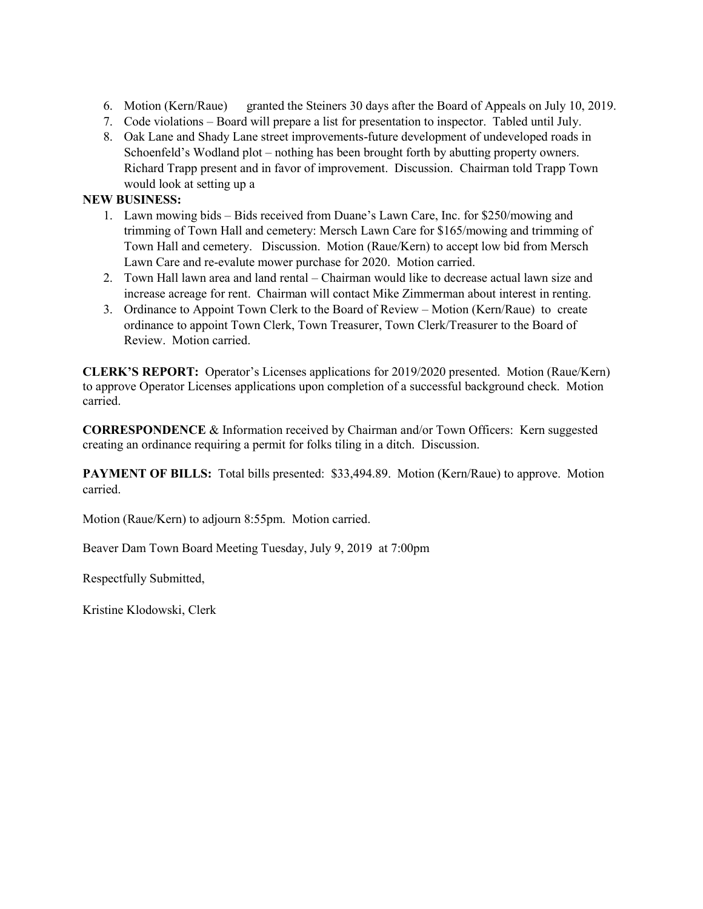- 6. Motion (Kern/Raue) granted the Steiners 30 days after the Board of Appeals on July 10, 2019.
- 7. Code violations Board will prepare a list for presentation to inspector. Tabled until July.
- 8. Oak Lane and Shady Lane street improvements-future development of undeveloped roads in Schoenfeld's Wodland plot – nothing has been brought forth by abutting property owners. Richard Trapp present and in favor of improvement. Discussion. Chairman told Trapp Town would look at setting up a

#### **NEW BUSINESS:**

- 1. Lawn mowing bids Bids received from Duane's Lawn Care, Inc. for \$250/mowing and trimming of Town Hall and cemetery: Mersch Lawn Care for \$165/mowing and trimming of Town Hall and cemetery. Discussion. Motion (Raue/Kern) to accept low bid from Mersch Lawn Care and re-evalute mower purchase for 2020. Motion carried.
- 2. Town Hall lawn area and land rental Chairman would like to decrease actual lawn size and increase acreage for rent. Chairman will contact Mike Zimmerman about interest in renting.
- 3. Ordinance to Appoint Town Clerk to the Board of Review Motion (Kern/Raue) to create ordinance to appoint Town Clerk, Town Treasurer, Town Clerk/Treasurer to the Board of Review. Motion carried.

**CLERK'S REPORT:** Operator's Licenses applications for 2019/2020 presented. Motion (Raue/Kern) to approve Operator Licenses applications upon completion of a successful background check. Motion carried.

**CORRESPONDENCE** & Information received by Chairman and/or Town Officers: Kern suggested creating an ordinance requiring a permit for folks tiling in a ditch. Discussion.

**PAYMENT OF BILLS:** Total bills presented: \$33,494.89. Motion (Kern/Raue) to approve. Motion carried.

Motion (Raue/Kern) to adjourn 8:55pm. Motion carried.

Beaver Dam Town Board Meeting Tuesday, July 9, 2019 at 7:00pm

Respectfully Submitted,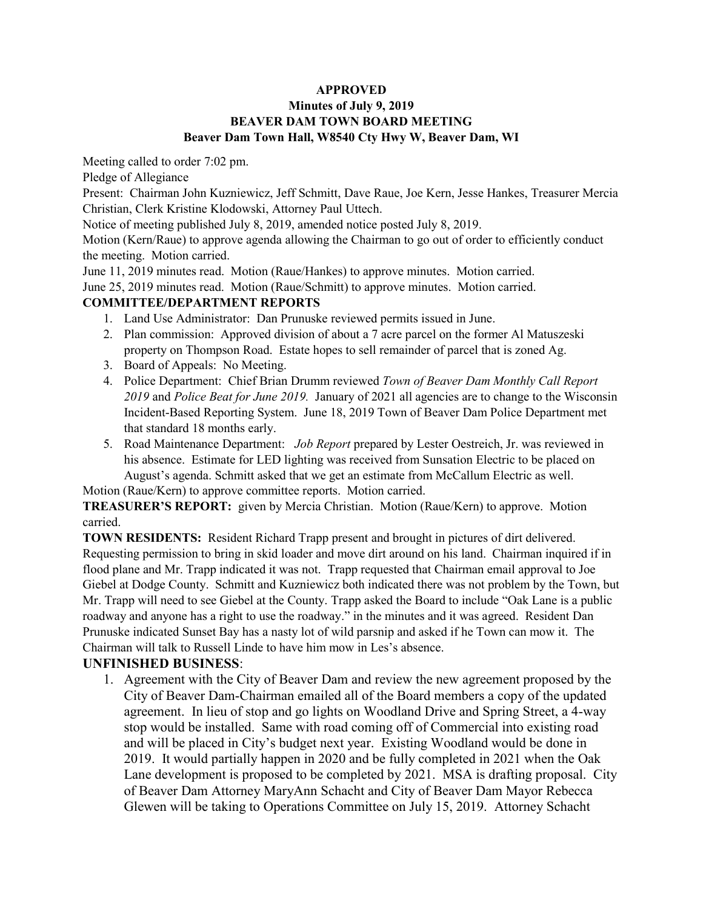### **APPROVED**

### **Minutes of July 9, 2019 BEAVER DAM TOWN BOARD MEETING Beaver Dam Town Hall, W8540 Cty Hwy W, Beaver Dam, WI**

Meeting called to order 7:02 pm.

Pledge of Allegiance

Present: Chairman John Kuzniewicz, Jeff Schmitt, Dave Raue, Joe Kern, Jesse Hankes, Treasurer Mercia Christian, Clerk Kristine Klodowski, Attorney Paul Uttech.

Notice of meeting published July 8, 2019, amended notice posted July 8, 2019.

Motion (Kern/Raue) to approve agenda allowing the Chairman to go out of order to efficiently conduct the meeting. Motion carried.

June 11, 2019 minutes read. Motion (Raue/Hankes) to approve minutes. Motion carried.

June 25, 2019 minutes read. Motion (Raue/Schmitt) to approve minutes. Motion carried.

## **COMMITTEE/DEPARTMENT REPORTS**

- 1. Land Use Administrator: Dan Prunuske reviewed permits issued in June.
- 2. Plan commission: Approved division of about a 7 acre parcel on the former Al Matuszeski property on Thompson Road. Estate hopes to sell remainder of parcel that is zoned Ag.
- 3. Board of Appeals: No Meeting.
- 4. Police Department: Chief Brian Drumm reviewed *Town of Beaver Dam Monthly Call Report 2019* and *Police Beat for June 2019.* January of 2021 all agencies are to change to the Wisconsin Incident-Based Reporting System. June 18, 2019 Town of Beaver Dam Police Department met that standard 18 months early.
- 5. Road Maintenance Department: *Job Report* prepared by Lester Oestreich, Jr. was reviewed in his absence. Estimate for LED lighting was received from Sunsation Electric to be placed on August's agenda. Schmitt asked that we get an estimate from McCallum Electric as well.

Motion (Raue/Kern) to approve committee reports. Motion carried.

**TREASURER'S REPORT:** given by Mercia Christian. Motion (Raue/Kern) to approve. Motion carried.

**TOWN RESIDENTS:** Resident Richard Trapp present and brought in pictures of dirt delivered. Requesting permission to bring in skid loader and move dirt around on his land. Chairman inquired if in flood plane and Mr. Trapp indicated it was not. Trapp requested that Chairman email approval to Joe Giebel at Dodge County. Schmitt and Kuzniewicz both indicated there was not problem by the Town, but Mr. Trapp will need to see Giebel at the County. Trapp asked the Board to include "Oak Lane is a public roadway and anyone has a right to use the roadway." in the minutes and it was agreed. Resident Dan Prunuske indicated Sunset Bay has a nasty lot of wild parsnip and asked if he Town can mow it. The Chairman will talk to Russell Linde to have him mow in Les's absence.

# **UNFINISHED BUSINESS**:

1. Agreement with the City of Beaver Dam and review the new agreement proposed by the City of Beaver Dam-Chairman emailed all of the Board members a copy of the updated agreement. In lieu of stop and go lights on Woodland Drive and Spring Street, a 4-way stop would be installed. Same with road coming off of Commercial into existing road and will be placed in City's budget next year. Existing Woodland would be done in 2019. It would partially happen in 2020 and be fully completed in 2021 when the Oak Lane development is proposed to be completed by 2021. MSA is drafting proposal. City of Beaver Dam Attorney MaryAnn Schacht and City of Beaver Dam Mayor Rebecca Glewen will be taking to Operations Committee on July 15, 2019. Attorney Schacht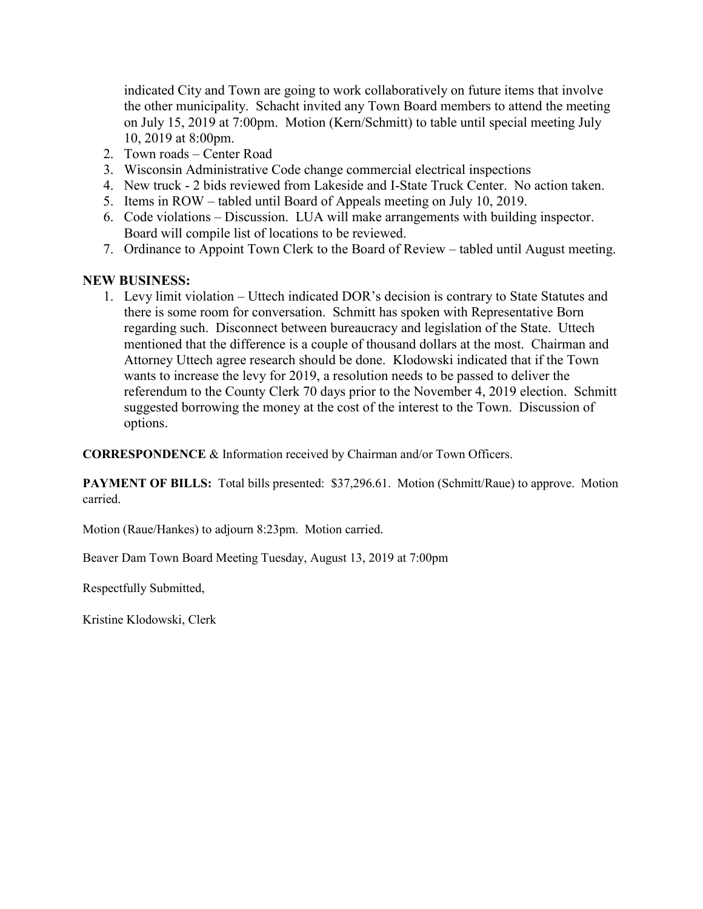indicated City and Town are going to work collaboratively on future items that involve the other municipality. Schacht invited any Town Board members to attend the meeting on July 15, 2019 at 7:00pm. Motion (Kern/Schmitt) to table until special meeting July 10, 2019 at 8:00pm.

- 2. Town roads Center Road
- 3. Wisconsin Administrative Code change commercial electrical inspections
- 4. New truck 2 bids reviewed from Lakeside and I-State Truck Center. No action taken.
- 5. Items in ROW tabled until Board of Appeals meeting on July 10, 2019.
- 6. Code violations Discussion. LUA will make arrangements with building inspector. Board will compile list of locations to be reviewed.
- 7. Ordinance to Appoint Town Clerk to the Board of Review tabled until August meeting.

## **NEW BUSINESS:**

1. Levy limit violation – Uttech indicated DOR's decision is contrary to State Statutes and there is some room for conversation. Schmitt has spoken with Representative Born regarding such. Disconnect between bureaucracy and legislation of the State. Uttech mentioned that the difference is a couple of thousand dollars at the most. Chairman and Attorney Uttech agree research should be done. Klodowski indicated that if the Town wants to increase the levy for 2019, a resolution needs to be passed to deliver the referendum to the County Clerk 70 days prior to the November 4, 2019 election. Schmitt suggested borrowing the money at the cost of the interest to the Town. Discussion of options.

**CORRESPONDENCE** & Information received by Chairman and/or Town Officers.

**PAYMENT OF BILLS:** Total bills presented: \$37,296.61. Motion (Schmitt/Raue) to approve. Motion carried.

Motion (Raue/Hankes) to adjourn 8:23pm. Motion carried.

Beaver Dam Town Board Meeting Tuesday, August 13, 2019 at 7:00pm

Respectfully Submitted,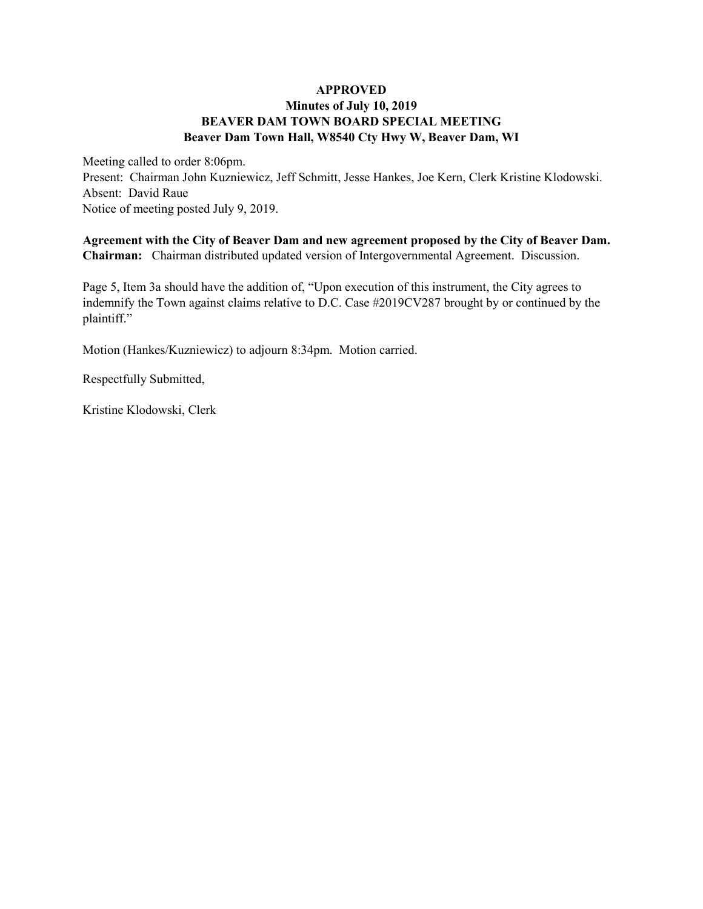#### **APPROVED Minutes of July 10, 2019 BEAVER DAM TOWN BOARD SPECIAL MEETING Beaver Dam Town Hall, W8540 Cty Hwy W, Beaver Dam, WI**

Meeting called to order 8:06pm. Present: Chairman John Kuzniewicz, Jeff Schmitt, Jesse Hankes, Joe Kern, Clerk Kristine Klodowski. Absent: David Raue Notice of meeting posted July 9, 2019.

**Agreement with the City of Beaver Dam and new agreement proposed by the City of Beaver Dam. Chairman:** Chairman distributed updated version of Intergovernmental Agreement. Discussion.

Page 5, Item 3a should have the addition of, "Upon execution of this instrument, the City agrees to indemnify the Town against claims relative to D.C. Case #2019CV287 brought by or continued by the plaintiff."

Motion (Hankes/Kuzniewicz) to adjourn 8:34pm. Motion carried.

Respectfully Submitted,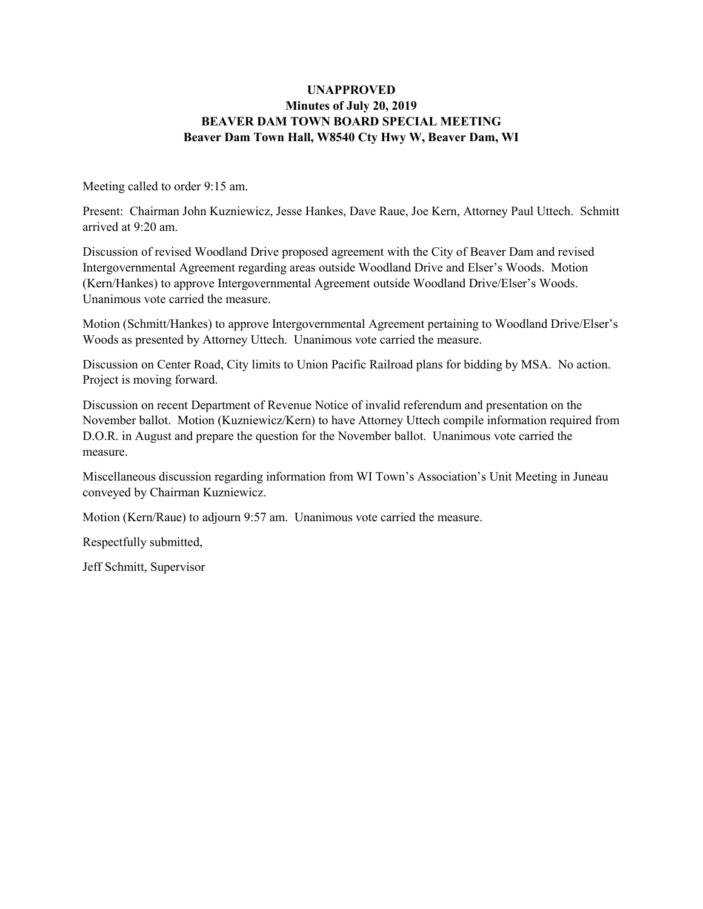#### **UNAPPROVED Minutes of July 20, 2019 BEAVER DAM TOWN BOARD SPECIAL MEETING Beaver Dam Town Hall, W8540 Cty Hwy W, Beaver Dam, WI**

Meeting called to order 9:15 am.

Present: Chairman John Kuzniewicz, Jesse Hankes, Dave Raue, Joe Kern, Attorney Paul Uttech. Schmitt arrived at 9:20 am.

Discussion of revised Woodland Drive proposed agreement with the City of Beaver Dam and revised Intergovernmental Agreement regarding areas outside Woodland Drive and Elser's Woods. Motion (Kern/Hankes) to approve Intergovernmental Agreement outside Woodland Drive/Elser's Woods. Unanimous vote carried the measure.

Motion (Schmitt/Hankes) to approve Intergovernmental Agreement pertaining to Woodland Drive/Elser's Woods as presented by Attorney Uttech. Unanimous vote carried the measure.

Discussion on Center Road, City limits to Union Pacific Railroad plans for bidding by MSA. No action. Project is moving forward.

Discussion on recent Department of Revenue Notice of invalid referendum and presentation on the November ballot. Motion (Kuzniewicz/Kern) to have Attorney Uttech compile information required from D.O.R. in August and prepare the question for the November ballot. Unanimous vote carried the measure.

Miscellaneous discussion regarding information from WI Town's Association's Unit Meeting in Juneau conveyed by Chairman Kuzniewicz.

Motion (Kern/Raue) to adjourn 9:57 am. Unanimous vote carried the measure.

Respectfully submitted,

Jeff Schmitt, Supervisor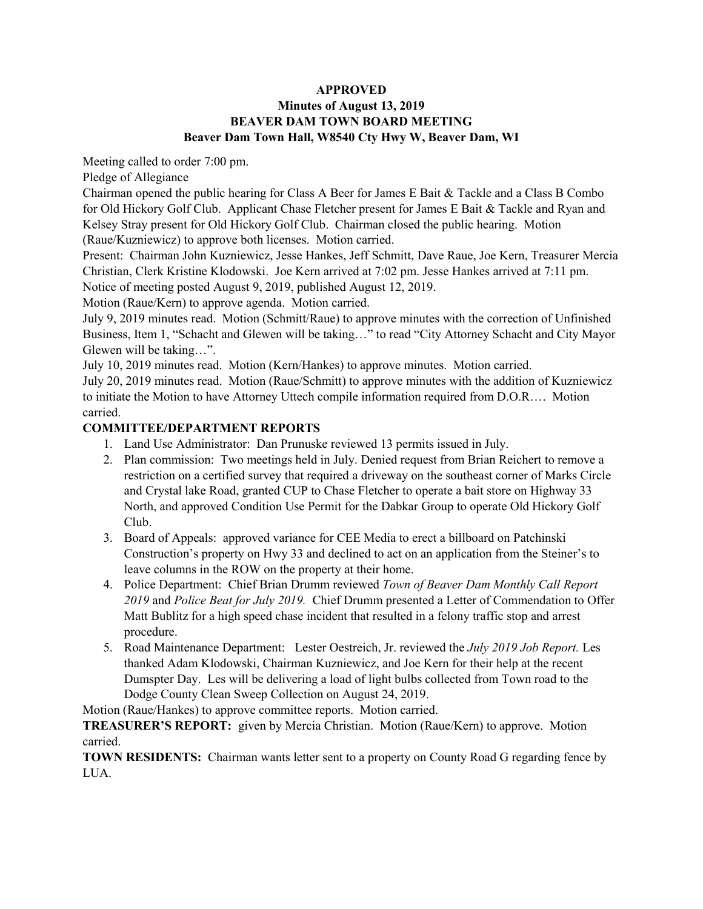#### **APPROVED Minutes of August 13, 2019 BEAVER DAM TOWN BOARD MEETING Beaver Dam Town Hall, W8540 Cty Hwy W, Beaver Dam, WI**

Meeting called to order 7:00 pm.

Pledge of Allegiance

Chairman opened the public hearing for Class A Beer for James E Bait  $\&$  Tackle and a Class B Combo for Old Hickory Golf Club. Applicant Chase Fletcher present for James E Bait & Tackle and Ryan and Kelsey Stray present for Old Hickory Golf Club. Chairman closed the public hearing. Motion (Raue/Kuzniewicz) to approve both licenses. Motion carried.

Present: Chairman John Kuzniewicz, Jesse Hankes, Jeff Schmitt, Dave Raue, Joe Kern, Treasurer Mercia Christian, Clerk Kristine Klodowski. Joe Kern arrived at 7:02 pm. Jesse Hankes arrived at 7:11 pm. Notice of meeting posted August 9, 2019, published August 12, 2019.

Motion (Raue/Kern) to approve agenda. Motion carried.

July 9, 2019 minutes read. Motion (Schmitt/Raue) to approve minutes with the correction of Unfinished Business, Item 1, "Schacht and Glewen will be taking…" to read "City Attorney Schacht and City Mayor Glewen will be taking…".

July 10, 2019 minutes read. Motion (Kern/Hankes) to approve minutes. Motion carried.

July 20, 2019 minutes read. Motion (Raue/Schmitt) to approve minutes with the addition of Kuzniewicz to initiate the Motion to have Attorney Uttech compile information required from D.O.R…. Motion carried.

### **COMMITTEE/DEPARTMENT REPORTS**

- 1. Land Use Administrator: Dan Prunuske reviewed 13 permits issued in July.
- 2. Plan commission: Two meetings held in July. Denied request from Brian Reichert to remove a restriction on a certified survey that required a driveway on the southeast corner of Marks Circle and Crystal lake Road, granted CUP to Chase Fletcher to operate a bait store on Highway 33 North, and approved Condition Use Permit for the Dabkar Group to operate Old Hickory Golf Club.
- 3. Board of Appeals: approved variance for CEE Media to erect a billboard on Patchinski Construction's property on Hwy 33 and declined to act on an application from the Steiner's to leave columns in the ROW on the property at their home.
- 4. Police Department: Chief Brian Drumm reviewed *Town of Beaver Dam Monthly Call Report 2019* and *Police Beat for July 2019.* Chief Drumm presented a Letter of Commendation to Offer Matt Bublitz for a high speed chase incident that resulted in a felony traffic stop and arrest procedure.
- 5. Road Maintenance Department: Lester Oestreich, Jr. reviewed the *July 2019 Job Report.* Les thanked Adam Klodowski, Chairman Kuzniewicz, and Joe Kern for their help at the recent Dumspter Day. Les will be delivering a load of light bulbs collected from Town road to the Dodge County Clean Sweep Collection on August 24, 2019.

Motion (Raue/Hankes) to approve committee reports. Motion carried.

**TREASURER'S REPORT:** given by Mercia Christian. Motion (Raue/Kern) to approve. Motion carried.

**TOWN RESIDENTS:** Chairman wants letter sent to a property on County Road G regarding fence by LUA.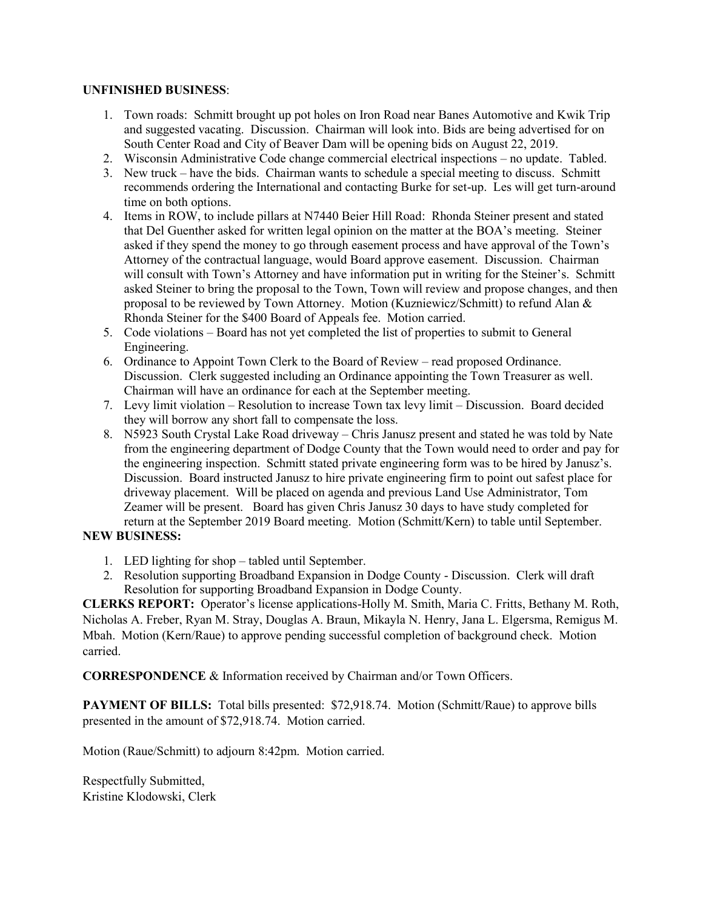#### **UNFINISHED BUSINESS**:

- 1. Town roads: Schmitt brought up pot holes on Iron Road near Banes Automotive and Kwik Trip and suggested vacating. Discussion. Chairman will look into. Bids are being advertised for on South Center Road and City of Beaver Dam will be opening bids on August 22, 2019.
- 2. Wisconsin Administrative Code change commercial electrical inspections no update. Tabled.
- 3. New truck have the bids. Chairman wants to schedule a special meeting to discuss. Schmitt recommends ordering the International and contacting Burke for set-up. Les will get turn-around time on both options.
- 4. Items in ROW, to include pillars at N7440 Beier Hill Road: Rhonda Steiner present and stated that Del Guenther asked for written legal opinion on the matter at the BOA's meeting. Steiner asked if they spend the money to go through easement process and have approval of the Town's Attorney of the contractual language, would Board approve easement. Discussion. Chairman will consult with Town's Attorney and have information put in writing for the Steiner's. Schmitt asked Steiner to bring the proposal to the Town, Town will review and propose changes, and then proposal to be reviewed by Town Attorney. Motion (Kuzniewicz/Schmitt) to refund Alan & Rhonda Steiner for the \$400 Board of Appeals fee. Motion carried.
- 5. Code violations Board has not yet completed the list of properties to submit to General Engineering.
- 6. Ordinance to Appoint Town Clerk to the Board of Review read proposed Ordinance. Discussion. Clerk suggested including an Ordinance appointing the Town Treasurer as well. Chairman will have an ordinance for each at the September meeting.
- 7. Levy limit violation Resolution to increase Town tax levy limit Discussion. Board decided they will borrow any short fall to compensate the loss.
- 8. N5923 South Crystal Lake Road driveway Chris Janusz present and stated he was told by Nate from the engineering department of Dodge County that the Town would need to order and pay for the engineering inspection. Schmitt stated private engineering form was to be hired by Janusz's. Discussion. Board instructed Janusz to hire private engineering firm to point out safest place for driveway placement. Will be placed on agenda and previous Land Use Administrator, Tom Zeamer will be present. Board has given Chris Janusz 30 days to have study completed for return at the September 2019 Board meeting. Motion (Schmitt/Kern) to table until September.

### **NEW BUSINESS:**

- 1. LED lighting for shop tabled until September.
- 2. Resolution supporting Broadband Expansion in Dodge County Discussion. Clerk will draft Resolution for supporting Broadband Expansion in Dodge County.

**CLERKS REPORT:** Operator's license applications-Holly M. Smith, Maria C. Fritts, Bethany M. Roth, Nicholas A. Freber, Ryan M. Stray, Douglas A. Braun, Mikayla N. Henry, Jana L. Elgersma, Remigus M. Mbah. Motion (Kern/Raue) to approve pending successful completion of background check. Motion carried.

**CORRESPONDENCE** & Information received by Chairman and/or Town Officers.

**PAYMENT OF BILLS:** Total bills presented: \$72,918.74. Motion (Schmitt/Raue) to approve bills presented in the amount of \$72,918.74. Motion carried.

Motion (Raue/Schmitt) to adjourn 8:42pm. Motion carried.

Respectfully Submitted, Kristine Klodowski, Clerk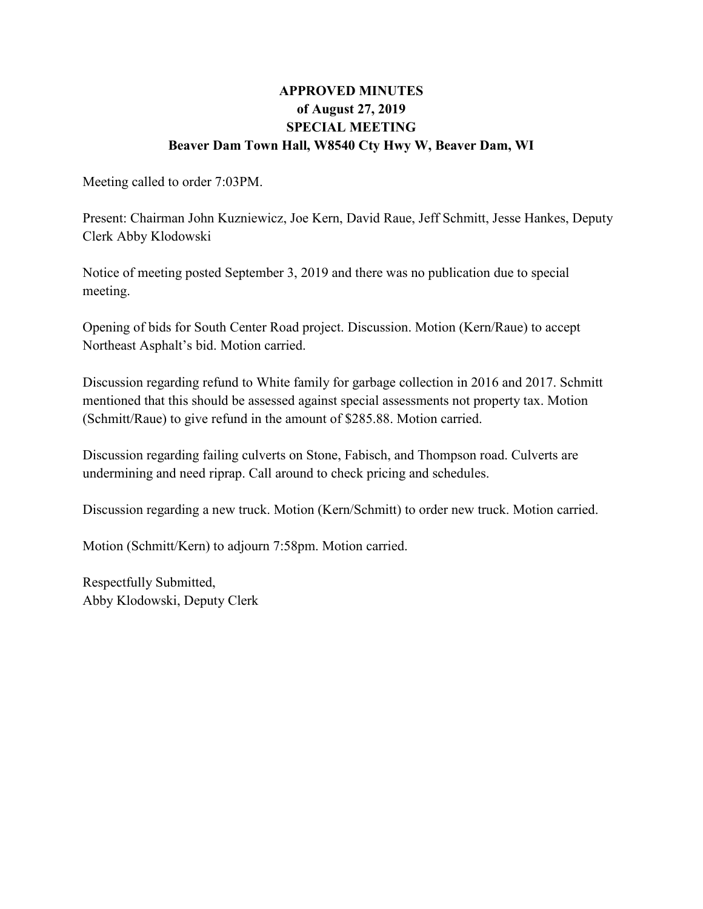# **APPROVED MINUTES of August 27, 2019 SPECIAL MEETING Beaver Dam Town Hall, W8540 Cty Hwy W, Beaver Dam, WI**

Meeting called to order 7:03PM.

Present: Chairman John Kuzniewicz, Joe Kern, David Raue, Jeff Schmitt, Jesse Hankes, Deputy Clerk Abby Klodowski

Notice of meeting posted September 3, 2019 and there was no publication due to special meeting.

Opening of bids for South Center Road project. Discussion. Motion (Kern/Raue) to accept Northeast Asphalt's bid. Motion carried.

Discussion regarding refund to White family for garbage collection in 2016 and 2017. Schmitt mentioned that this should be assessed against special assessments not property tax. Motion (Schmitt/Raue) to give refund in the amount of \$285.88. Motion carried.

Discussion regarding failing culverts on Stone, Fabisch, and Thompson road. Culverts are undermining and need riprap. Call around to check pricing and schedules.

Discussion regarding a new truck. Motion (Kern/Schmitt) to order new truck. Motion carried.

Motion (Schmitt/Kern) to adjourn 7:58pm. Motion carried.

Respectfully Submitted, Abby Klodowski, Deputy Clerk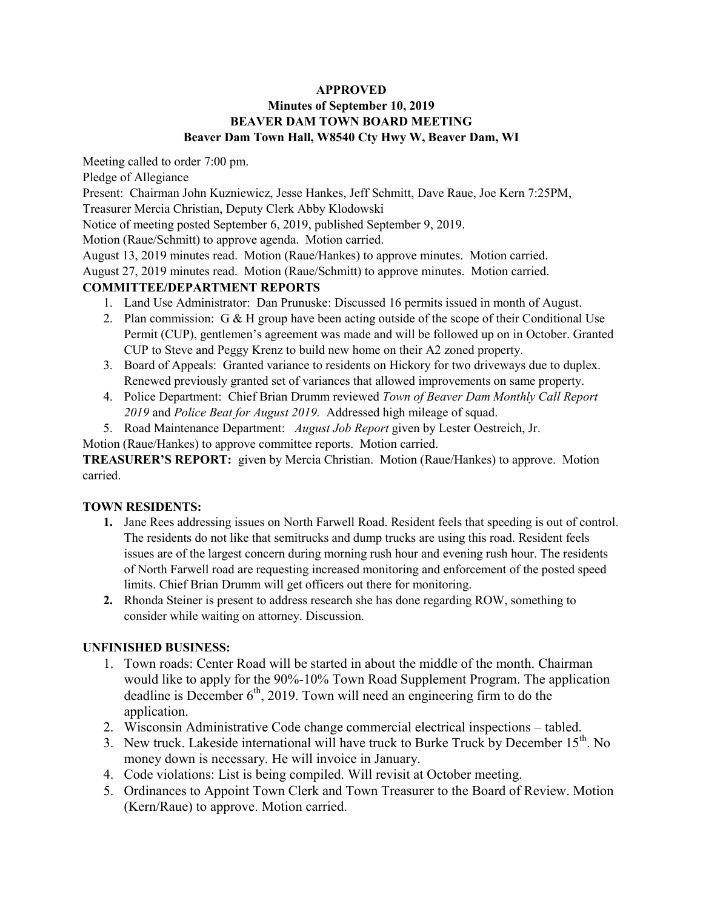### **APPROVED**

### **Minutes of September 10, 2019 BEAVER DAM TOWN BOARD MEETING Beaver Dam Town Hall, W8540 Cty Hwy W, Beaver Dam, WI**

Meeting called to order 7:00 pm.

Pledge of Allegiance

Present: Chairman John Kuzniewicz, Jesse Hankes, Jeff Schmitt, Dave Raue, Joe Kern 7:25PM,

Treasurer Mercia Christian, Deputy Clerk Abby Klodowski

Notice of meeting posted September 6, 2019, published September 9, 2019.

Motion (Raue/Schmitt) to approve agenda. Motion carried.

August 13, 2019 minutes read. Motion (Raue/Hankes) to approve minutes. Motion carried.

August 27, 2019 minutes read. Motion (Raue/Schmitt) to approve minutes. Motion carried.

### **COMMITTEE/DEPARTMENT REPORTS**

- 1. Land Use Administrator: Dan Prunuske: Discussed 16 permits issued in month of August.
- 2. Plan commission: G  $\&$  H group have been acting outside of the scope of their Conditional Use Permit (CUP), gentlemen's agreement was made and will be followed up on in October. Granted CUP to Steve and Peggy Krenz to build new home on their A2 zoned property.
- 3. Board of Appeals: Granted variance to residents on Hickory for two driveways due to duplex. Renewed previously granted set of variances that allowed improvements on same property.
- 4. Police Department: Chief Brian Drumm reviewed *Town of Beaver Dam Monthly Call Report 2019* and *Police Beat for August 2019.* Addressed high mileage of squad.
- 5. Road Maintenance Department: *August Job Report* given by Lester Oestreich, Jr.

Motion (Raue/Hankes) to approve committee reports. Motion carried.

**TREASURER'S REPORT:** given by Mercia Christian. Motion (Raue/Hankes) to approve. Motion carried.

### **TOWN RESIDENTS:**

- **1.** Jane Rees addressing issues on North Farwell Road. Resident feels that speeding is out of control. The residents do not like that semitrucks and dump trucks are using this road. Resident feels issues are of the largest concern during morning rush hour and evening rush hour. The residents of North Farwell road are requesting increased monitoring and enforcement of the posted speed limits. Chief Brian Drumm will get officers out there for monitoring.
- **2.** Rhonda Steiner is present to address research she has done regarding ROW, something to consider while waiting on attorney. Discussion.

### **UNFINISHED BUSINESS:**

- 1. Town roads: Center Road will be started in about the middle of the month. Chairman would like to apply for the 90%-10% Town Road Supplement Program. The application deadline is December  $6<sup>th</sup>$ , 2019. Town will need an engineering firm to do the application.
- 2. Wisconsin Administrative Code change commercial electrical inspections tabled.
- 3. New truck. Lakeside international will have truck to Burke Truck by December  $15<sup>th</sup>$ . No money down is necessary. He will invoice in January.
- 4. Code violations: List is being compiled. Will revisit at October meeting.
- 5. Ordinances to Appoint Town Clerk and Town Treasurer to the Board of Review. Motion (Kern/Raue) to approve. Motion carried.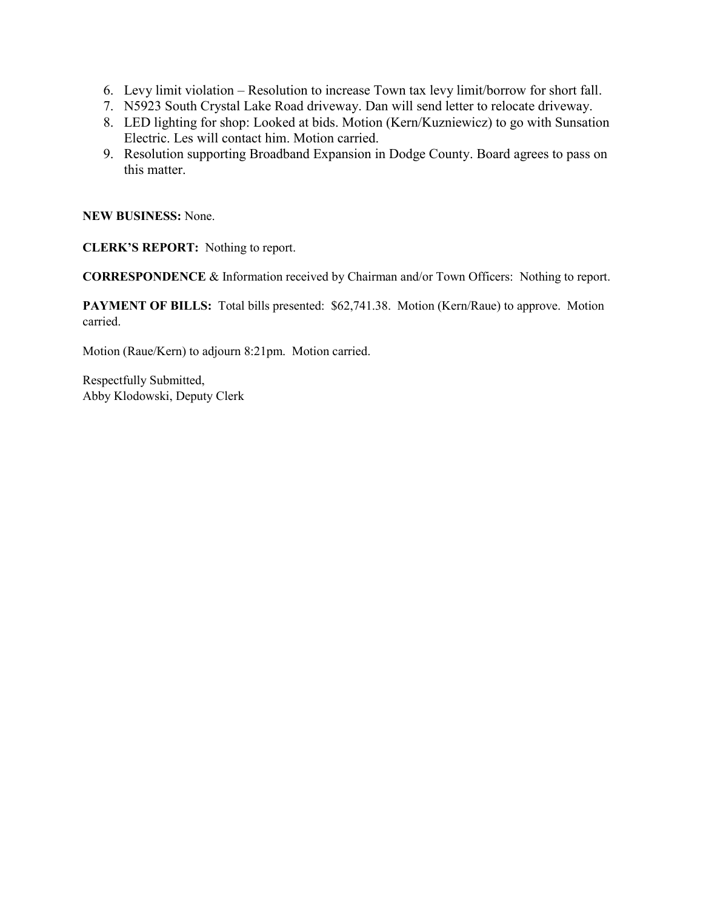- 6. Levy limit violation Resolution to increase Town tax levy limit/borrow for short fall.
- 7. N5923 South Crystal Lake Road driveway. Dan will send letter to relocate driveway.
- 8. LED lighting for shop: Looked at bids. Motion (Kern/Kuzniewicz) to go with Sunsation Electric. Les will contact him. Motion carried.
- 9. Resolution supporting Broadband Expansion in Dodge County. Board agrees to pass on this matter.

**NEW BUSINESS:** None.

**CLERK'S REPORT:** Nothing to report.

**CORRESPONDENCE** & Information received by Chairman and/or Town Officers: Nothing to report.

**PAYMENT OF BILLS:** Total bills presented: \$62,741.38. Motion (Kern/Raue) to approve. Motion carried.

Motion (Raue/Kern) to adjourn 8:21pm. Motion carried.

Respectfully Submitted, Abby Klodowski, Deputy Clerk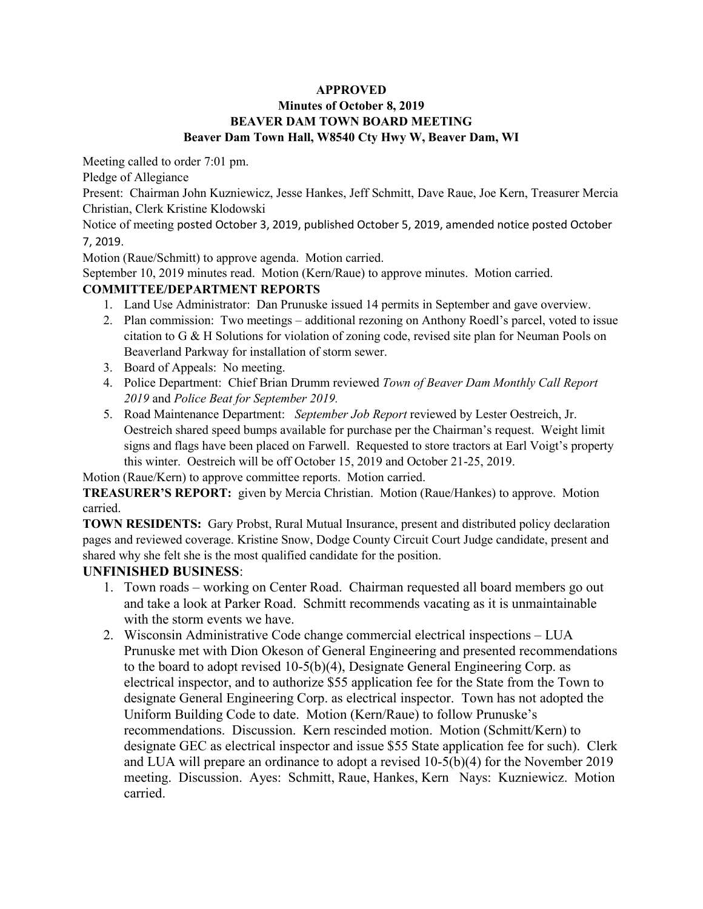### **APPROVED**

### **Minutes of October 8, 2019 BEAVER DAM TOWN BOARD MEETING Beaver Dam Town Hall, W8540 Cty Hwy W, Beaver Dam, WI**

Meeting called to order 7:01 pm.

Pledge of Allegiance

Present: Chairman John Kuzniewicz, Jesse Hankes, Jeff Schmitt, Dave Raue, Joe Kern, Treasurer Mercia Christian, Clerk Kristine Klodowski

Notice of meeting posted October 3, 2019, published October 5, 2019, amended notice posted October 7, 2019.

Motion (Raue/Schmitt) to approve agenda. Motion carried.

September 10, 2019 minutes read. Motion (Kern/Raue) to approve minutes. Motion carried.

#### **COMMITTEE/DEPARTMENT REPORTS**

- 1. Land Use Administrator: Dan Prunuske issued 14 permits in September and gave overview.
- 2. Plan commission: Two meetings additional rezoning on Anthony Roedl's parcel, voted to issue citation to G & H Solutions for violation of zoning code, revised site plan for Neuman Pools on Beaverland Parkway for installation of storm sewer.
- 3. Board of Appeals: No meeting.
- 4. Police Department: Chief Brian Drumm reviewed *Town of Beaver Dam Monthly Call Report 2019* and *Police Beat for September 2019.*
- 5. Road Maintenance Department: *September Job Report* reviewed by Lester Oestreich, Jr. Oestreich shared speed bumps available for purchase per the Chairman's request. Weight limit signs and flags have been placed on Farwell. Requested to store tractors at Earl Voigt's property this winter. Oestreich will be off October 15, 2019 and October 21-25, 2019.

Motion (Raue/Kern) to approve committee reports. Motion carried.

**TREASURER'S REPORT:** given by Mercia Christian. Motion (Raue/Hankes) to approve. Motion carried.

**TOWN RESIDENTS:** Gary Probst, Rural Mutual Insurance, present and distributed policy declaration pages and reviewed coverage. Kristine Snow, Dodge County Circuit Court Judge candidate, present and shared why she felt she is the most qualified candidate for the position.

### **UNFINISHED BUSINESS**:

- 1. Town roads working on Center Road. Chairman requested all board members go out and take a look at Parker Road. Schmitt recommends vacating as it is unmaintainable with the storm events we have.
- 2. Wisconsin Administrative Code change commercial electrical inspections LUA Prunuske met with Dion Okeson of General Engineering and presented recommendations to the board to adopt revised 10-5(b)(4), Designate General Engineering Corp. as electrical inspector, and to authorize \$55 application fee for the State from the Town to designate General Engineering Corp. as electrical inspector. Town has not adopted the Uniform Building Code to date. Motion (Kern/Raue) to follow Prunuske's recommendations. Discussion. Kern rescinded motion. Motion (Schmitt/Kern) to designate GEC as electrical inspector and issue \$55 State application fee for such). Clerk and LUA will prepare an ordinance to adopt a revised 10-5(b)(4) for the November 2019 meeting. Discussion. Ayes: Schmitt, Raue, Hankes, Kern Nays: Kuzniewicz. Motion carried.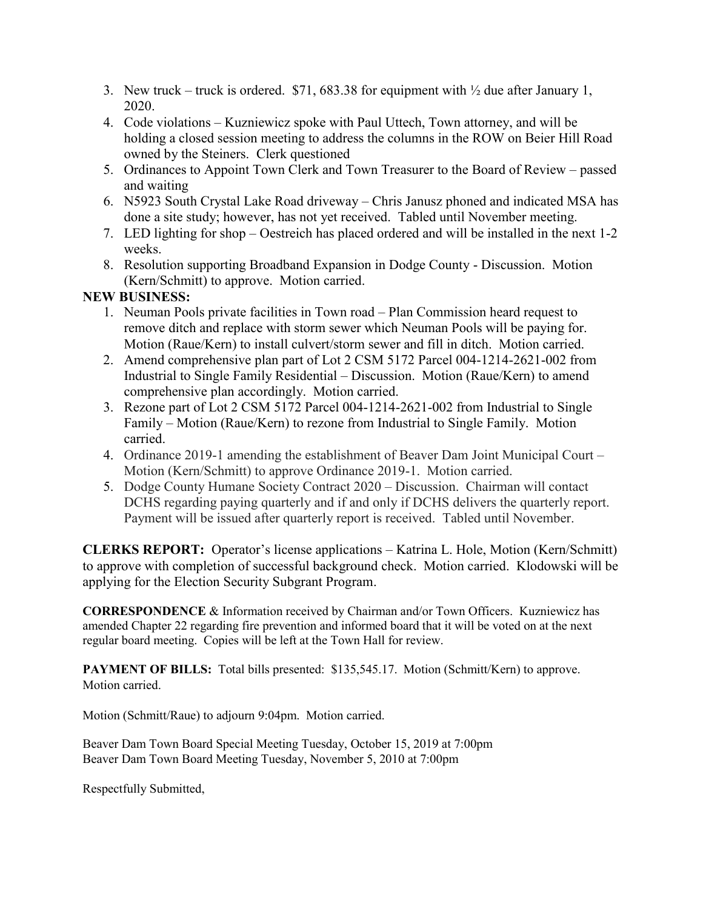- 3. New truck truck is ordered. \$71, 683.38 for equipment with  $\frac{1}{2}$  due after January 1, 2020.
- 4. Code violations Kuzniewicz spoke with Paul Uttech, Town attorney, and will be holding a closed session meeting to address the columns in the ROW on Beier Hill Road owned by the Steiners. Clerk questioned
- 5. Ordinances to Appoint Town Clerk and Town Treasurer to the Board of Review passed and waiting
- 6. N5923 South Crystal Lake Road driveway Chris Janusz phoned and indicated MSA has done a site study; however, has not yet received. Tabled until November meeting.
- 7. LED lighting for shop Oestreich has placed ordered and will be installed in the next 1-2 weeks.
- 8. Resolution supporting Broadband Expansion in Dodge County Discussion. Motion (Kern/Schmitt) to approve. Motion carried.

# **NEW BUSINESS:**

- 1. Neuman Pools private facilities in Town road Plan Commission heard request to remove ditch and replace with storm sewer which Neuman Pools will be paying for. Motion (Raue/Kern) to install culvert/storm sewer and fill in ditch. Motion carried.
- 2. Amend comprehensive plan part of Lot 2 CSM 5172 Parcel 004-1214-2621-002 from Industrial to Single Family Residential – Discussion. Motion (Raue/Kern) to amend comprehensive plan accordingly. Motion carried.
- 3. Rezone part of Lot 2 CSM 5172 Parcel 004-1214-2621-002 from Industrial to Single Family – Motion (Raue/Kern) to rezone from Industrial to Single Family. Motion carried.
- 4. Ordinance 2019-1 amending the establishment of Beaver Dam Joint Municipal Court Motion (Kern/Schmitt) to approve Ordinance 2019-1. Motion carried.
- 5. Dodge County Humane Society Contract 2020 Discussion. Chairman will contact DCHS regarding paying quarterly and if and only if DCHS delivers the quarterly report. Payment will be issued after quarterly report is received. Tabled until November.

**CLERKS REPORT:** Operator's license applications – Katrina L. Hole, Motion (Kern/Schmitt) to approve with completion of successful background check. Motion carried. Klodowski will be applying for the Election Security Subgrant Program.

**CORRESPONDENCE** & Information received by Chairman and/or Town Officers. Kuzniewicz has amended Chapter 22 regarding fire prevention and informed board that it will be voted on at the next regular board meeting. Copies will be left at the Town Hall for review.

**PAYMENT OF BILLS:** Total bills presented: \$135,545.17. Motion (Schmitt/Kern) to approve. Motion carried.

Motion (Schmitt/Raue) to adjourn 9:04pm. Motion carried.

Beaver Dam Town Board Special Meeting Tuesday, October 15, 2019 at 7:00pm Beaver Dam Town Board Meeting Tuesday, November 5, 2010 at 7:00pm

Respectfully Submitted,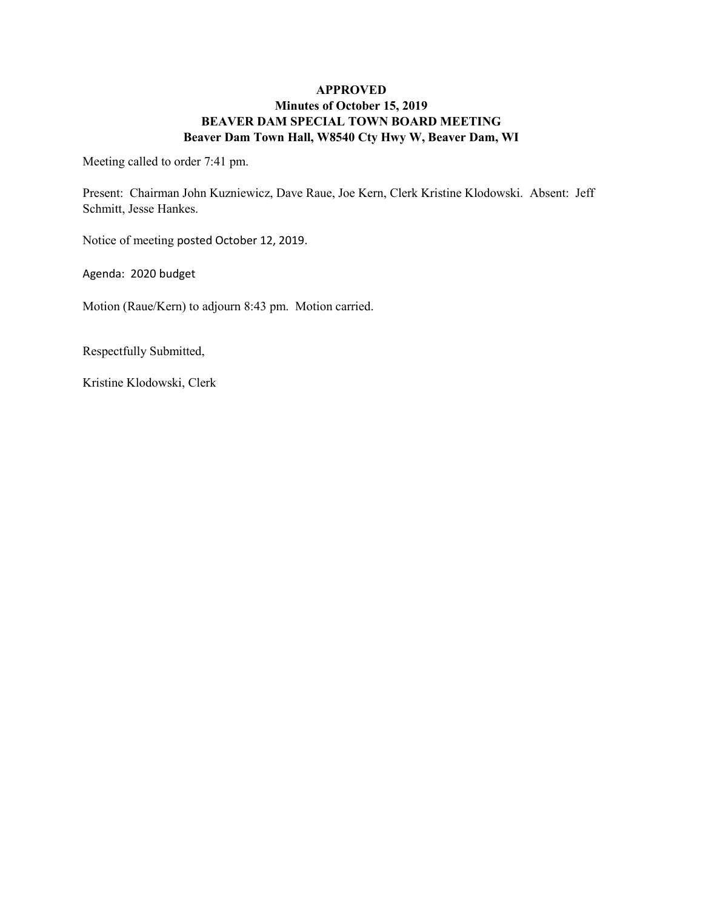### **APPROVED Minutes of October 15, 2019 BEAVER DAM SPECIAL TOWN BOARD MEETING Beaver Dam Town Hall, W8540 Cty Hwy W, Beaver Dam, WI**

Meeting called to order 7:41 pm.

Present: Chairman John Kuzniewicz, Dave Raue, Joe Kern, Clerk Kristine Klodowski. Absent: Jeff Schmitt, Jesse Hankes.

Notice of meeting posted October 12, 2019.

Agenda: 2020 budget

Motion (Raue/Kern) to adjourn 8:43 pm. Motion carried.

Respectfully Submitted,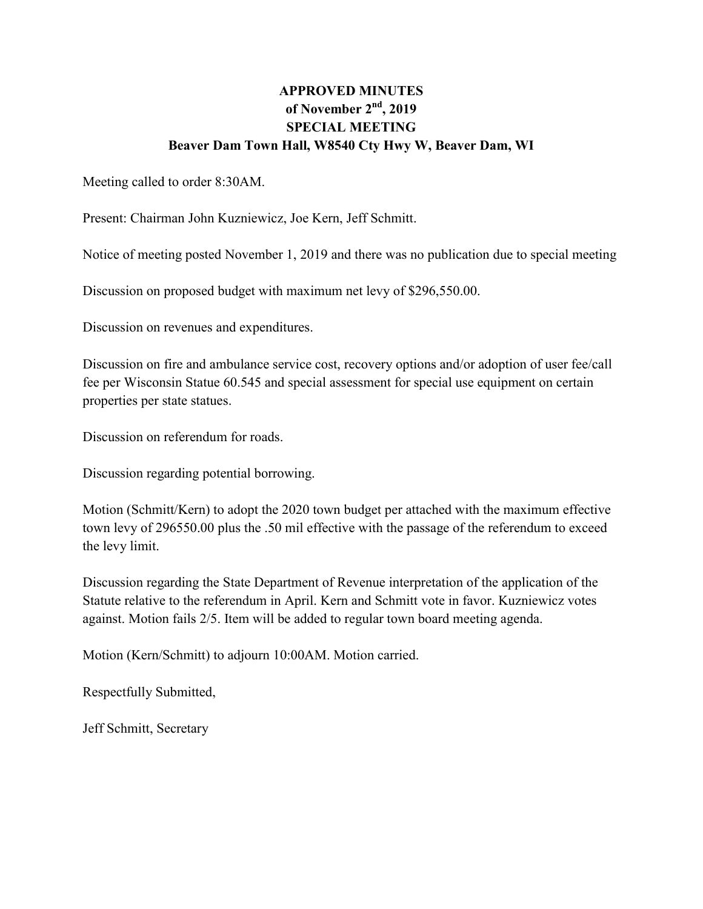# **APPROVED MINUTES of November 2nd, 2019 SPECIAL MEETING Beaver Dam Town Hall, W8540 Cty Hwy W, Beaver Dam, WI**

Meeting called to order 8:30AM.

Present: Chairman John Kuzniewicz, Joe Kern, Jeff Schmitt.

Notice of meeting posted November 1, 2019 and there was no publication due to special meeting

Discussion on proposed budget with maximum net levy of \$296,550.00.

Discussion on revenues and expenditures.

Discussion on fire and ambulance service cost, recovery options and/or adoption of user fee/call fee per Wisconsin Statue 60.545 and special assessment for special use equipment on certain properties per state statues.

Discussion on referendum for roads.

Discussion regarding potential borrowing.

Motion (Schmitt/Kern) to adopt the 2020 town budget per attached with the maximum effective town levy of 296550.00 plus the .50 mil effective with the passage of the referendum to exceed the levy limit.

Discussion regarding the State Department of Revenue interpretation of the application of the Statute relative to the referendum in April. Kern and Schmitt vote in favor. Kuzniewicz votes against. Motion fails 2/5. Item will be added to regular town board meeting agenda.

Motion (Kern/Schmitt) to adjourn 10:00AM. Motion carried.

Respectfully Submitted,

Jeff Schmitt, Secretary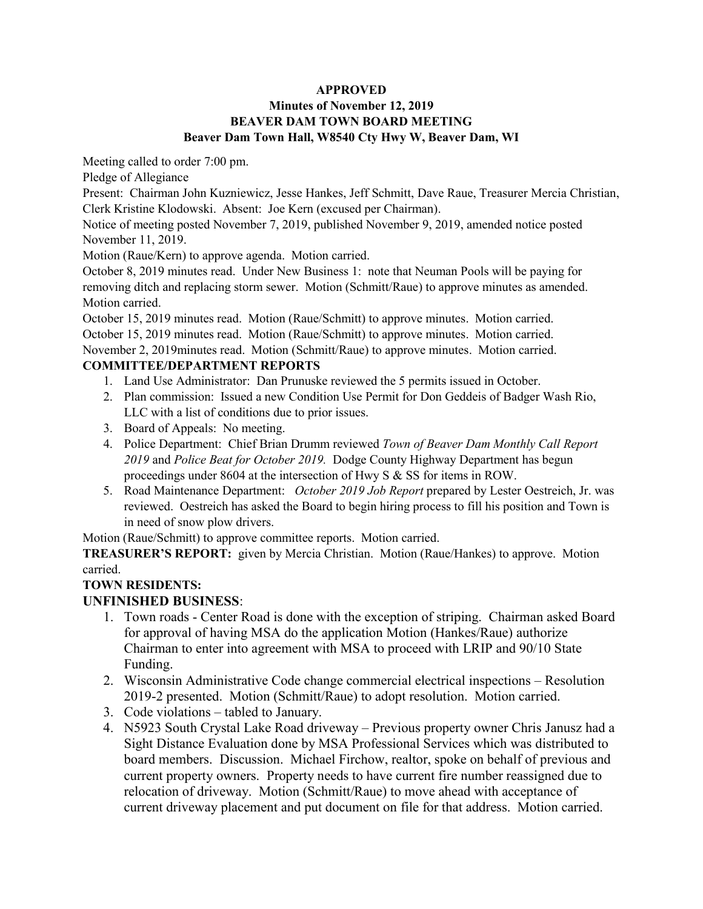#### **APPROVED**

## **Minutes of November 12, 2019 BEAVER DAM TOWN BOARD MEETING Beaver Dam Town Hall, W8540 Cty Hwy W, Beaver Dam, WI**

Meeting called to order 7:00 pm.

Pledge of Allegiance

Present: Chairman John Kuzniewicz, Jesse Hankes, Jeff Schmitt, Dave Raue, Treasurer Mercia Christian, Clerk Kristine Klodowski. Absent: Joe Kern (excused per Chairman).

Notice of meeting posted November 7, 2019, published November 9, 2019, amended notice posted November 11, 2019.

Motion (Raue/Kern) to approve agenda. Motion carried.

October 8, 2019 minutes read. Under New Business 1: note that Neuman Pools will be paying for removing ditch and replacing storm sewer. Motion (Schmitt/Raue) to approve minutes as amended. Motion carried.

October 15, 2019 minutes read. Motion (Raue/Schmitt) to approve minutes. Motion carried. October 15, 2019 minutes read. Motion (Raue/Schmitt) to approve minutes. Motion carried. November 2, 2019minutes read. Motion (Schmitt/Raue) to approve minutes. Motion carried.

### **COMMITTEE/DEPARTMENT REPORTS**

- 1. Land Use Administrator: Dan Prunuske reviewed the 5 permits issued in October.
- 2. Plan commission: Issued a new Condition Use Permit for Don Geddeis of Badger Wash Rio, LLC with a list of conditions due to prior issues.
- 3. Board of Appeals: No meeting.
- 4. Police Department: Chief Brian Drumm reviewed *Town of Beaver Dam Monthly Call Report 2019* and *Police Beat for October 2019.* Dodge County Highway Department has begun proceedings under 8604 at the intersection of Hwy S & SS for items in ROW.
- 5. Road Maintenance Department: *October 2019 Job Report* prepared by Lester Oestreich, Jr. was reviewed. Oestreich has asked the Board to begin hiring process to fill his position and Town is in need of snow plow drivers.

Motion (Raue/Schmitt) to approve committee reports. Motion carried.

**TREASURER'S REPORT:** given by Mercia Christian. Motion (Raue/Hankes) to approve. Motion carried.

### **TOWN RESIDENTS:**

# **UNFINISHED BUSINESS**:

- 1. Town roads Center Road is done with the exception of striping. Chairman asked Board for approval of having MSA do the application Motion (Hankes/Raue) authorize Chairman to enter into agreement with MSA to proceed with LRIP and 90/10 State Funding.
- 2. Wisconsin Administrative Code change commercial electrical inspections Resolution 2019-2 presented. Motion (Schmitt/Raue) to adopt resolution. Motion carried.
- 3. Code violations tabled to January.
- 4. N5923 South Crystal Lake Road driveway Previous property owner Chris Janusz had a Sight Distance Evaluation done by MSA Professional Services which was distributed to board members. Discussion. Michael Firchow, realtor, spoke on behalf of previous and current property owners. Property needs to have current fire number reassigned due to relocation of driveway. Motion (Schmitt/Raue) to move ahead with acceptance of current driveway placement and put document on file for that address. Motion carried.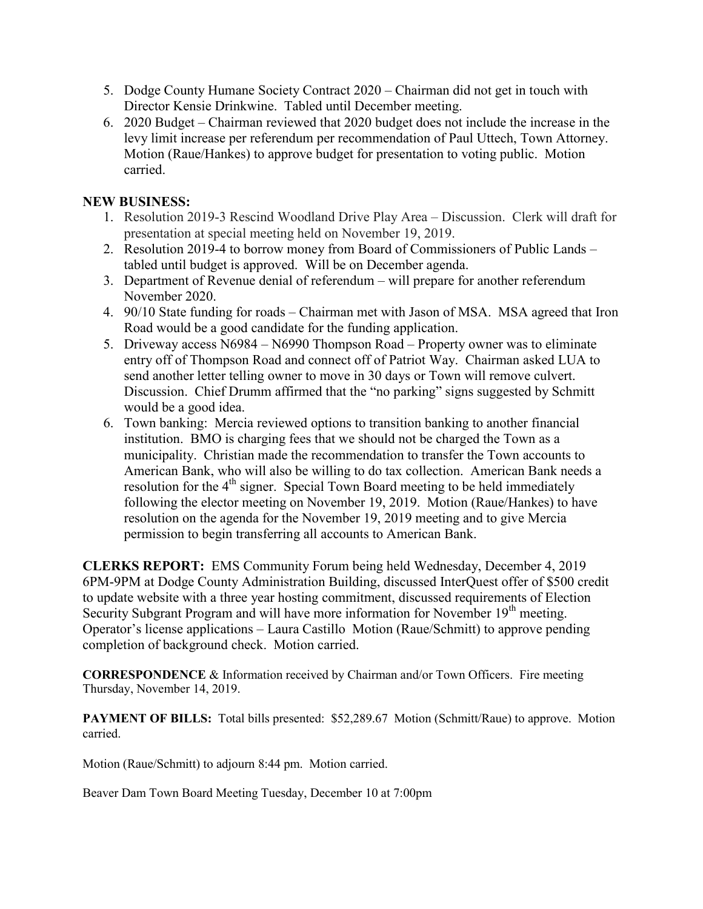- 5. Dodge County Humane Society Contract 2020 Chairman did not get in touch with Director Kensie Drinkwine. Tabled until December meeting.
- 6. 2020 Budget Chairman reviewed that 2020 budget does not include the increase in the levy limit increase per referendum per recommendation of Paul Uttech, Town Attorney. Motion (Raue/Hankes) to approve budget for presentation to voting public. Motion carried.

# **NEW BUSINESS:**

- 1. Resolution 2019-3 Rescind Woodland Drive Play Area Discussion. Clerk will draft for presentation at special meeting held on November 19, 2019.
- 2. Resolution 2019-4 to borrow money from Board of Commissioners of Public Lands tabled until budget is approved. Will be on December agenda.
- 3. Department of Revenue denial of referendum will prepare for another referendum November 2020.
- 4. 90/10 State funding for roads Chairman met with Jason of MSA. MSA agreed that Iron Road would be a good candidate for the funding application.
- 5. Driveway access N6984 N6990 Thompson Road Property owner was to eliminate entry off of Thompson Road and connect off of Patriot Way. Chairman asked LUA to send another letter telling owner to move in 30 days or Town will remove culvert. Discussion. Chief Drumm affirmed that the "no parking" signs suggested by Schmitt would be a good idea.
- 6. Town banking: Mercia reviewed options to transition banking to another financial institution. BMO is charging fees that we should not be charged the Town as a municipality. Christian made the recommendation to transfer the Town accounts to American Bank, who will also be willing to do tax collection. American Bank needs a resolution for the  $4<sup>th</sup>$  signer. Special Town Board meeting to be held immediately following the elector meeting on November 19, 2019. Motion (Raue/Hankes) to have resolution on the agenda for the November 19, 2019 meeting and to give Mercia permission to begin transferring all accounts to American Bank.

**CLERKS REPORT:** EMS Community Forum being held Wednesday, December 4, 2019 6PM-9PM at Dodge County Administration Building, discussed InterQuest offer of \$500 credit to update website with a three year hosting commitment, discussed requirements of Election Security Subgrant Program and will have more information for November 19<sup>th</sup> meeting. Operator's license applications – Laura Castillo Motion (Raue/Schmitt) to approve pending completion of background check. Motion carried.

**CORRESPONDENCE** & Information received by Chairman and/or Town Officers. Fire meeting Thursday, November 14, 2019.

**PAYMENT OF BILLS:** Total bills presented: \$52,289.67 Motion (Schmitt/Raue) to approve. Motion carried.

Motion (Raue/Schmitt) to adjourn 8:44 pm. Motion carried.

Beaver Dam Town Board Meeting Tuesday, December 10 at 7:00pm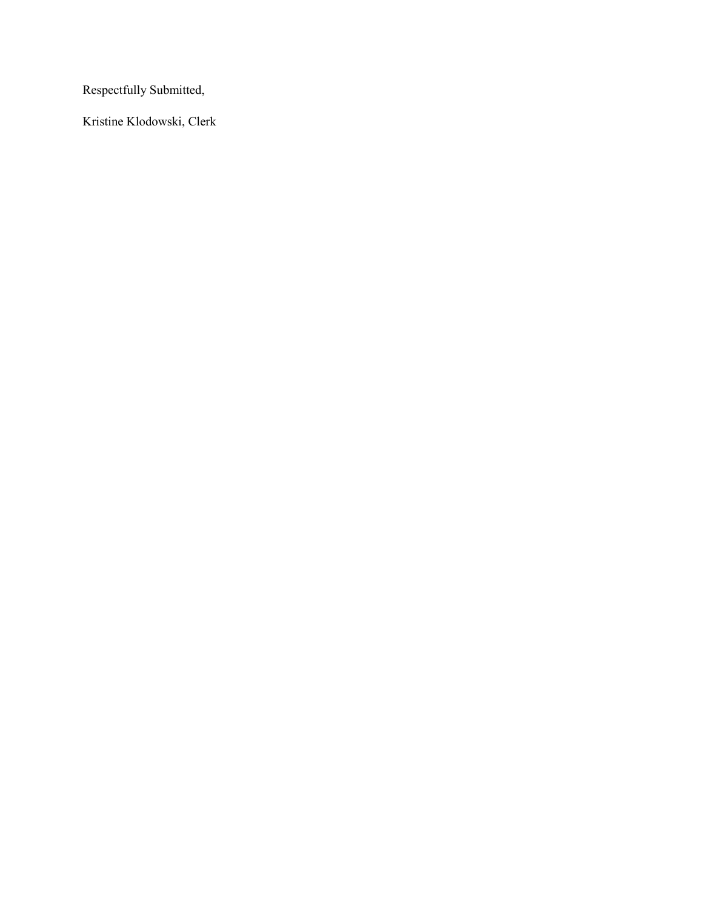Respectfully Submitted,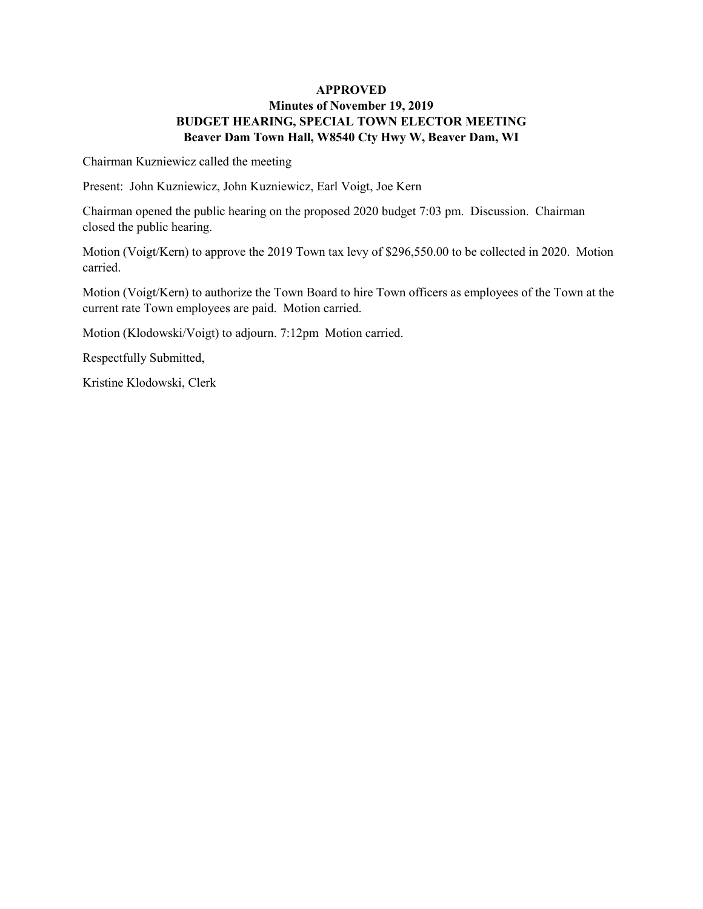### **APPROVED Minutes of November 19, 2019 BUDGET HEARING, SPECIAL TOWN ELECTOR MEETING Beaver Dam Town Hall, W8540 Cty Hwy W, Beaver Dam, WI**

Chairman Kuzniewicz called the meeting

Present: John Kuzniewicz, John Kuzniewicz, Earl Voigt, Joe Kern

Chairman opened the public hearing on the proposed 2020 budget 7:03 pm. Discussion. Chairman closed the public hearing.

Motion (Voigt/Kern) to approve the 2019 Town tax levy of \$296,550.00 to be collected in 2020. Motion carried.

Motion (Voigt/Kern) to authorize the Town Board to hire Town officers as employees of the Town at the current rate Town employees are paid. Motion carried.

Motion (Klodowski/Voigt) to adjourn. 7:12pm Motion carried.

Respectfully Submitted,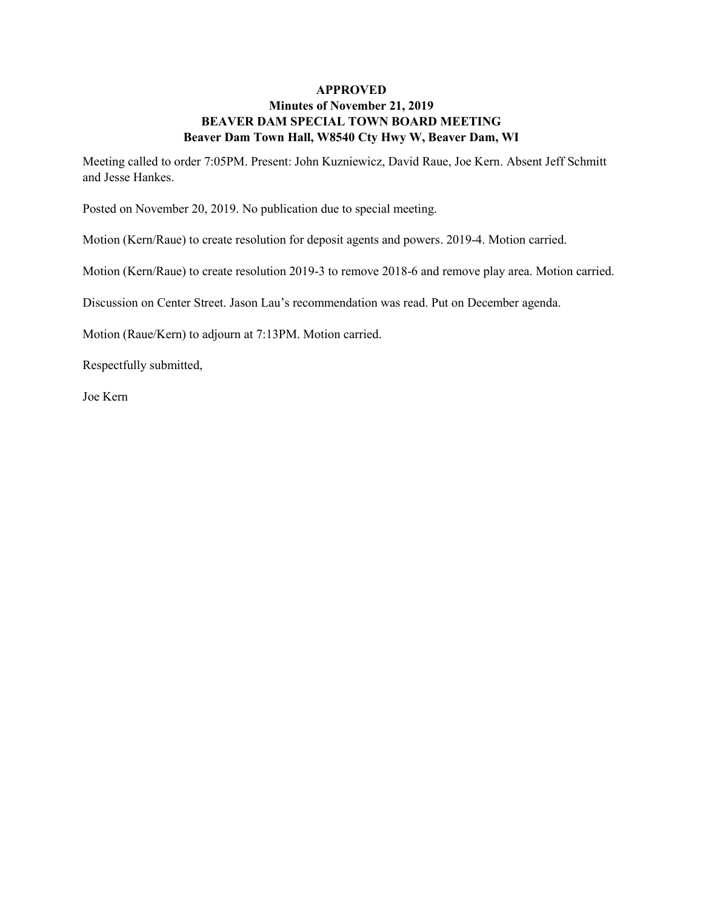### **APPROVED Minutes of November 21, 2019 BEAVER DAM SPECIAL TOWN BOARD MEETING Beaver Dam Town Hall, W8540 Cty Hwy W, Beaver Dam, WI**

Meeting called to order 7:05PM. Present: John Kuzniewicz, David Raue, Joe Kern. Absent Jeff Schmitt and Jesse Hankes.

Posted on November 20, 2019. No publication due to special meeting.

Motion (Kern/Raue) to create resolution for deposit agents and powers. 2019-4. Motion carried.

Motion (Kern/Raue) to create resolution 2019-3 to remove 2018-6 and remove play area. Motion carried.

Discussion on Center Street. Jason Lau's recommendation was read. Put on December agenda.

Motion (Raue/Kern) to adjourn at 7:13PM. Motion carried.

Respectfully submitted,

Joe Kern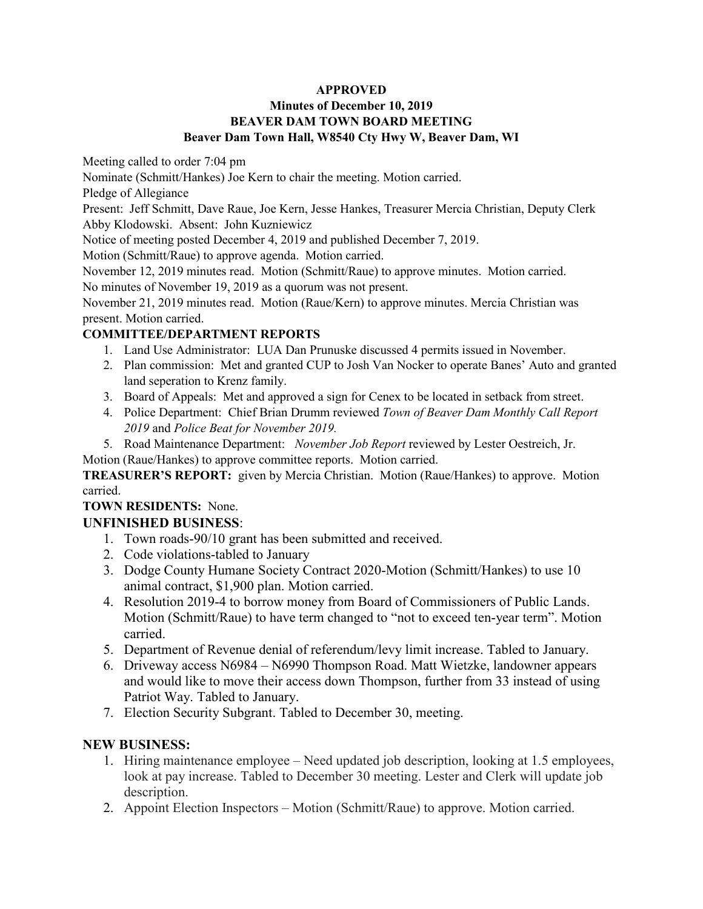### **APPROVED**

## **Minutes of December 10, 2019 BEAVER DAM TOWN BOARD MEETING Beaver Dam Town Hall, W8540 Cty Hwy W, Beaver Dam, WI**

Meeting called to order 7:04 pm

Nominate (Schmitt/Hankes) Joe Kern to chair the meeting. Motion carried.

Pledge of Allegiance

Present: Jeff Schmitt, Dave Raue, Joe Kern, Jesse Hankes, Treasurer Mercia Christian, Deputy Clerk Abby Klodowski. Absent: John Kuzniewicz

Notice of meeting posted December 4, 2019 and published December 7, 2019.

Motion (Schmitt/Raue) to approve agenda. Motion carried.

November 12, 2019 minutes read. Motion (Schmitt/Raue) to approve minutes. Motion carried. No minutes of November 19, 2019 as a quorum was not present.

November 21, 2019 minutes read. Motion (Raue/Kern) to approve minutes. Mercia Christian was present. Motion carried.

# **COMMITTEE/DEPARTMENT REPORTS**

- 1. Land Use Administrator: LUA Dan Prunuske discussed 4 permits issued in November.
- 2. Plan commission: Met and granted CUP to Josh Van Nocker to operate Banes' Auto and granted land seperation to Krenz family.
- 3. Board of Appeals: Met and approved a sign for Cenex to be located in setback from street.
- 4. Police Department: Chief Brian Drumm reviewed *Town of Beaver Dam Monthly Call Report 2019* and *Police Beat for November 2019.*
- 5. Road Maintenance Department: *November Job Report* reviewed by Lester Oestreich, Jr.

Motion (Raue/Hankes) to approve committee reports. Motion carried.

**TREASURER'S REPORT:** given by Mercia Christian. Motion (Raue/Hankes) to approve. Motion carried.

# **TOWN RESIDENTS:** None.

# **UNFINISHED BUSINESS**:

- 1. Town roads-90/10 grant has been submitted and received.
- 2. Code violations-tabled to January
- 3. Dodge County Humane Society Contract 2020-Motion (Schmitt/Hankes) to use 10 animal contract, \$1,900 plan. Motion carried.
- 4. Resolution 2019-4 to borrow money from Board of Commissioners of Public Lands. Motion (Schmitt/Raue) to have term changed to "not to exceed ten-year term". Motion carried.
- 5. Department of Revenue denial of referendum/levy limit increase. Tabled to January.
- 6. Driveway access N6984 N6990 Thompson Road. Matt Wietzke, landowner appears and would like to move their access down Thompson, further from 33 instead of using Patriot Way. Tabled to January.
- 7. Election Security Subgrant. Tabled to December 30, meeting.

# **NEW BUSINESS:**

- 1. Hiring maintenance employee Need updated job description, looking at 1.5 employees, look at pay increase. Tabled to December 30 meeting. Lester and Clerk will update job description.
- 2. Appoint Election Inspectors Motion (Schmitt/Raue) to approve. Motion carried.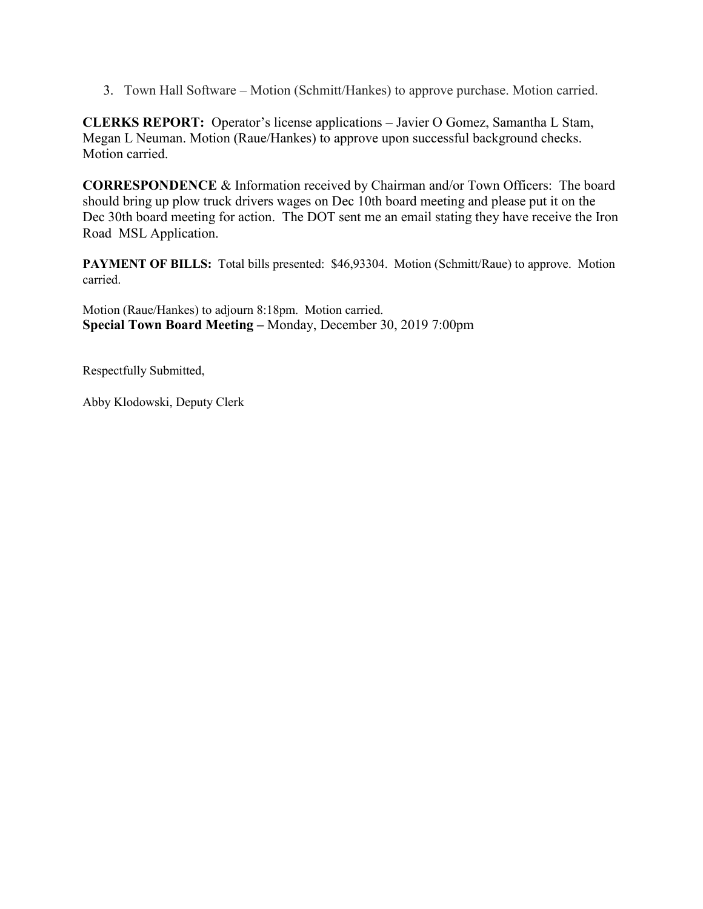3. Town Hall Software – Motion (Schmitt/Hankes) to approve purchase. Motion carried.

**CLERKS REPORT:** Operator's license applications – Javier O Gomez, Samantha L Stam, Megan L Neuman. Motion (Raue/Hankes) to approve upon successful background checks. Motion carried.

**CORRESPONDENCE** & Information received by Chairman and/or Town Officers: The board should bring up plow truck drivers wages on Dec 10th board meeting and please put it on the Dec 30th board meeting for action. The DOT sent me an email stating they have receive the Iron Road MSL Application.

PAYMENT OF BILLS: Total bills presented: \$46,93304. Motion (Schmitt/Raue) to approve. Motion carried.

Motion (Raue/Hankes) to adjourn 8:18pm. Motion carried. **Special Town Board Meeting –** Monday, December 30, 2019 7:00pm

Respectfully Submitted,

Abby Klodowski, Deputy Clerk